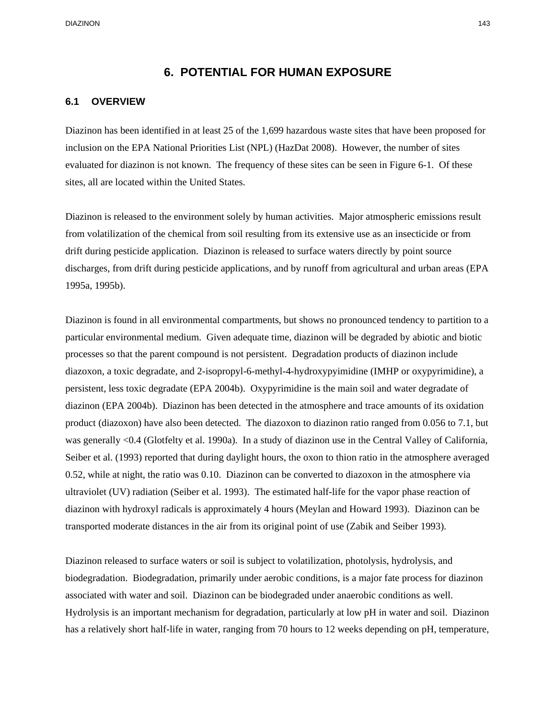## **6. POTENTIAL FOR HUMAN EXPOSURE**

### **6.1 OVERVIEW**

Diazinon has been identified in at least 25 of the 1,699 hazardous waste sites that have been proposed for inclusion on the EPA National Priorities List (NPL) (HazDat 2008). However, the number of sites evaluated for diazinon is not known. The frequency of these sites can be seen in Figure 6-1. Of these sites, all are located within the United States.

Diazinon is released to the environment solely by human activities. Major atmospheric emissions result from volatilization of the chemical from soil resulting from its extensive use as an insecticide or from drift during pesticide application. Diazinon is released to surface waters directly by point source discharges, from drift during pesticide applications, and by runoff from agricultural and urban areas (EPA 1995a, 1995b).

Diazinon is found in all environmental compartments, but shows no pronounced tendency to partition to a particular environmental medium. Given adequate time, diazinon will be degraded by abiotic and biotic processes so that the parent compound is not persistent. Degradation products of diazinon include diazoxon, a toxic degradate, and 2-isopropyl-6-methyl-4-hydroxypyimidine (IMHP or oxypyrimidine), a persistent, less toxic degradate (EPA 2004b). Oxypyrimidine is the main soil and water degradate of diazinon (EPA 2004b). Diazinon has been detected in the atmosphere and trace amounts of its oxidation product (diazoxon) have also been detected. The diazoxon to diazinon ratio ranged from 0.056 to 7.1, but was generally <0.4 (Glotfelty et al. 1990a). In a study of diazinon use in the Central Valley of California, Seiber et al. (1993) reported that during daylight hours, the oxon to thion ratio in the atmosphere averaged 0.52, while at night, the ratio was 0.10. Diazinon can be converted to diazoxon in the atmosphere via ultraviolet (UV) radiation (Seiber et al. 1993). The estimated half-life for the vapor phase reaction of diazinon with hydroxyl radicals is approximately 4 hours (Meylan and Howard 1993). Diazinon can be transported moderate distances in the air from its original point of use (Zabik and Seiber 1993).

Diazinon released to surface waters or soil is subject to volatilization, photolysis, hydrolysis, and biodegradation. Biodegradation, primarily under aerobic conditions, is a major fate process for diazinon associated with water and soil. Diazinon can be biodegraded under anaerobic conditions as well. Hydrolysis is an important mechanism for degradation, particularly at low pH in water and soil. Diazinon has a relatively short half-life in water, ranging from 70 hours to 12 weeks depending on pH, temperature,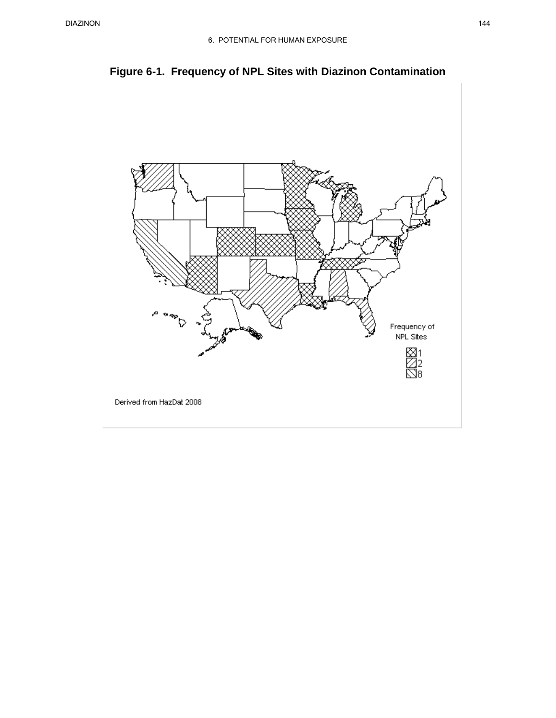



Derived from HazDat 2008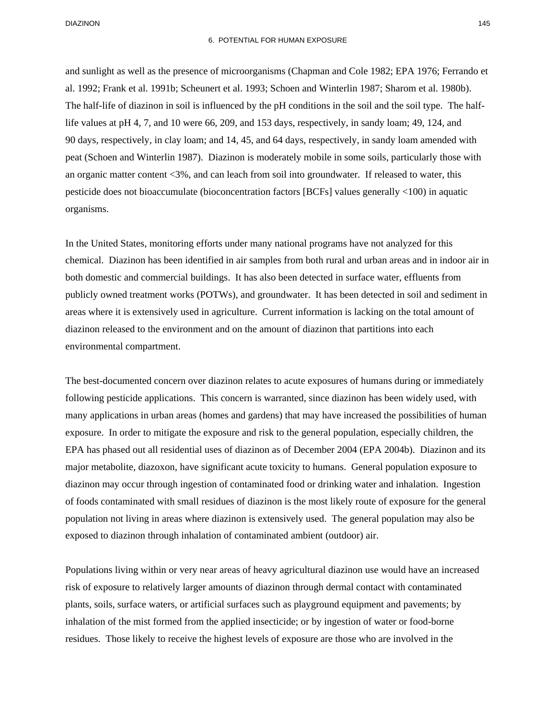and sunlight as well as the presence of microorganisms (Chapman and Cole 1982; EPA 1976; Ferrando et al. 1992; Frank et al. 1991b; Scheunert et al. 1993; Schoen and Winterlin 1987; Sharom et al. 1980b). The half-life of diazinon in soil is influenced by the pH conditions in the soil and the soil type. The halflife values at pH 4, 7, and 10 were 66, 209, and 153 days, respectively, in sandy loam; 49, 124, and 90 days, respectively, in clay loam; and 14, 45, and 64 days, respectively, in sandy loam amended with peat (Schoen and Winterlin 1987). Diazinon is moderately mobile in some soils, particularly those with an organic matter content <3%, and can leach from soil into groundwater. If released to water, this pesticide does not bioaccumulate (bioconcentration factors [BCFs] values generally <100) in aquatic organisms.

In the United States, monitoring efforts under many national programs have not analyzed for this chemical. Diazinon has been identified in air samples from both rural and urban areas and in indoor air in both domestic and commercial buildings. It has also been detected in surface water, effluents from publicly owned treatment works (POTWs), and groundwater. It has been detected in soil and sediment in areas where it is extensively used in agriculture. Current information is lacking on the total amount of diazinon released to the environment and on the amount of diazinon that partitions into each environmental compartment.

The best-documented concern over diazinon relates to acute exposures of humans during or immediately following pesticide applications. This concern is warranted, since diazinon has been widely used, with many applications in urban areas (homes and gardens) that may have increased the possibilities of human exposure. In order to mitigate the exposure and risk to the general population, especially children, the EPA has phased out all residential uses of diazinon as of December 2004 (EPA 2004b). Diazinon and its major metabolite, diazoxon, have significant acute toxicity to humans. General population exposure to diazinon may occur through ingestion of contaminated food or drinking water and inhalation. Ingestion of foods contaminated with small residues of diazinon is the most likely route of exposure for the general population not living in areas where diazinon is extensively used. The general population may also be exposed to diazinon through inhalation of contaminated ambient (outdoor) air.

Populations living within or very near areas of heavy agricultural diazinon use would have an increased risk of exposure to relatively larger amounts of diazinon through dermal contact with contaminated plants, soils, surface waters, or artificial surfaces such as playground equipment and pavements; by inhalation of the mist formed from the applied insecticide; or by ingestion of water or food-borne residues. Those likely to receive the highest levels of exposure are those who are involved in the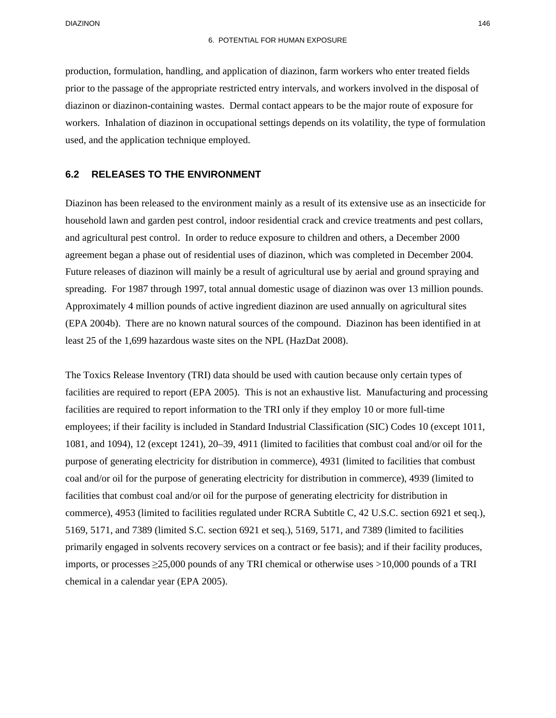production, formulation, handling, and application of diazinon, farm workers who enter treated fields prior to the passage of the appropriate restricted entry intervals, and workers involved in the disposal of diazinon or diazinon-containing wastes. Dermal contact appears to be the major route of exposure for workers. Inhalation of diazinon in occupational settings depends on its volatility, the type of formulation used, and the application technique employed.

### **6.2 RELEASES TO THE ENVIRONMENT**

Diazinon has been released to the environment mainly as a result of its extensive use as an insecticide for household lawn and garden pest control, indoor residential crack and crevice treatments and pest collars, and agricultural pest control. In order to reduce exposure to children and others, a December 2000 agreement began a phase out of residential uses of diazinon, which was completed in December 2004. Future releases of diazinon will mainly be a result of agricultural use by aerial and ground spraying and spreading. For 1987 through 1997, total annual domestic usage of diazinon was over 13 million pounds. Approximately 4 million pounds of active ingredient diazinon are used annually on agricultural sites (EPA 2004b). There are no known natural sources of the compound. Diazinon has been identified in at least 25 of the 1,699 hazardous waste sites on the NPL (HazDat 2008).

The Toxics Release Inventory (TRI) data should be used with caution because only certain types of facilities are required to report (EPA 2005). This is not an exhaustive list. Manufacturing and processing facilities are required to report information to the TRI only if they employ 10 or more full-time employees; if their facility is included in Standard Industrial Classification (SIC) Codes 10 (except 1011, 1081, and 1094), 12 (except 1241), 20–39, 4911 (limited to facilities that combust coal and/or oil for the purpose of generating electricity for distribution in commerce), 4931 (limited to facilities that combust coal and/or oil for the purpose of generating electricity for distribution in commerce), 4939 (limited to facilities that combust coal and/or oil for the purpose of generating electricity for distribution in commerce), 4953 (limited to facilities regulated under RCRA Subtitle C, 42 U.S.C. section 6921 et seq.), 5169, 5171, and 7389 (limited S.C. section 6921 et seq.), 5169, 5171, and 7389 (limited to facilities primarily engaged in solvents recovery services on a contract or fee basis); and if their facility produces, imports, or processes  $\geq 25,000$  pounds of any TRI chemical or otherwise uses  $>10,000$  pounds of a TRI chemical in a calendar year (EPA 2005).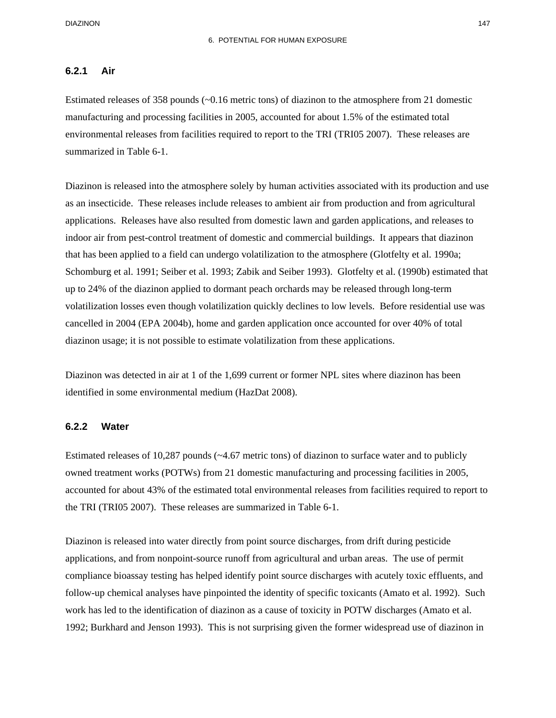### **6.2.1 Air**

Estimated releases of 358 pounds (~0.16 metric tons) of diazinon to the atmosphere from 21 domestic manufacturing and processing facilities in 2005, accounted for about 1.5% of the estimated total environmental releases from facilities required to report to the TRI (TRI05 2007). These releases are summarized in Table 6-1.

Diazinon is released into the atmosphere solely by human activities associated with its production and use as an insecticide. These releases include releases to ambient air from production and from agricultural applications. Releases have also resulted from domestic lawn and garden applications, and releases to indoor air from pest-control treatment of domestic and commercial buildings. It appears that diazinon that has been applied to a field can undergo volatilization to the atmosphere (Glotfelty et al. 1990a; Schomburg et al. 1991; Seiber et al. 1993; Zabik and Seiber 1993). Glotfelty et al. (1990b) estimated that up to 24% of the diazinon applied to dormant peach orchards may be released through long-term volatilization losses even though volatilization quickly declines to low levels. Before residential use was cancelled in 2004 (EPA 2004b), home and garden application once accounted for over 40% of total diazinon usage; it is not possible to estimate volatilization from these applications.

Diazinon was detected in air at 1 of the 1,699 current or former NPL sites where diazinon has been identified in some environmental medium (HazDat 2008).

### **6.2.2 Water**

Estimated releases of 10,287 pounds (~4.67 metric tons) of diazinon to surface water and to publicly owned treatment works (POTWs) from 21 domestic manufacturing and processing facilities in 2005, accounted for about 43% of the estimated total environmental releases from facilities required to report to the TRI (TRI05 2007). These releases are summarized in Table 6-1.

Diazinon is released into water directly from point source discharges, from drift during pesticide applications, and from nonpoint-source runoff from agricultural and urban areas. The use of permit compliance bioassay testing has helped identify point source discharges with acutely toxic effluents, and follow-up chemical analyses have pinpointed the identity of specific toxicants (Amato et al. 1992). Such work has led to the identification of diazinon as a cause of toxicity in POTW discharges (Amato et al. 1992; Burkhard and Jenson 1993). This is not surprising given the former widespread use of diazinon in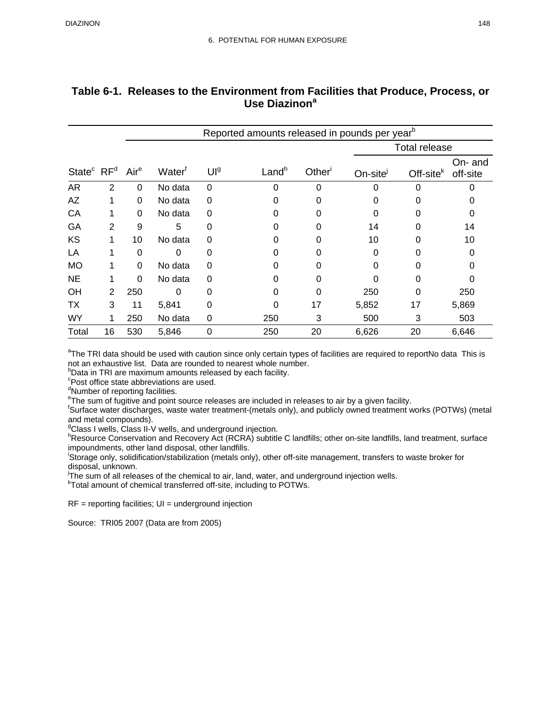| State <sup>c</sup> RF <sup>d</sup> Air <sup>e</sup> |                | Reported amounts released in pounds per year <sup>b</sup> |                    |                 |                   |                    |                      |             |                     |
|-----------------------------------------------------|----------------|-----------------------------------------------------------|--------------------|-----------------|-------------------|--------------------|----------------------|-------------|---------------------|
|                                                     |                |                                                           | Water <sup>t</sup> | UI <sub>a</sub> |                   | Other <sup>1</sup> | <b>Total release</b> |             |                     |
|                                                     |                |                                                           |                    |                 | Land <sup>h</sup> |                    | On-site              | $Off-sitek$ | On- and<br>off-site |
| <b>AR</b>                                           | $\overline{2}$ | 0                                                         | No data            | 0               | $\Omega$          | ი                  | O                    | 0           |                     |
| AZ                                                  |                | $\Omega$                                                  | No data            | 0               | 0                 |                    | 0                    | 0           |                     |
| CA                                                  |                | 0                                                         | No data            | 0               | 0                 | O                  | 0                    | 0           | 0                   |
| GA                                                  | 2              | 9                                                         | 5                  | 0               | 0                 | O                  | 14                   | ი           | 14                  |
| KS                                                  |                | 10                                                        | No data            | 0               | 0                 |                    | 10                   | ი           | 10                  |
| LA                                                  |                | 0                                                         | 0                  | 0               | 0                 | O                  | 0                    | ი           |                     |
| <b>MO</b>                                           |                | 0                                                         | No data            | 0               | 0                 |                    | O                    | 0           |                     |
| <b>NE</b>                                           |                | $\Omega$                                                  | No data            | 0               | 0                 | O                  | O                    | ი           |                     |
| <b>OH</b>                                           | 2              | 250                                                       | 0                  | 0               | 0                 | O                  | 250                  | ი           | 250                 |
| ТX                                                  | 3              | 11                                                        | 5,841              | 0               | 0                 | 17                 | 5,852                | 17          | 5,869               |
| WY                                                  |                | 250                                                       | No data            | 0               | 250               | 3                  | 500                  | 3           | 503                 |
| Total                                               | 16             | 530                                                       | 5,846              | 0               | 250               | 20                 | 6,626                | 20          | 6,646               |

## **Table 6-1. Releases to the Environment from Facilities that Produce, Process, or Use Diazinona**

<sup>a</sup>The TRI data should be used with caution since only certain types of facilities are required to reportNo data This is not an exhaustive list. Data are rounded to nearest whole number.

 $b$ Data in TRI are maximum amounts released by each facility.

 $°$ Post office state abbreviations are used.

<sup>d</sup>Number of reporting facilities.

<sup>e</sup>The sum of fugitive and point source releases are included in releases to air by a given facility.

Surface water discharges, waste water treatment-(metals only), and publicly owned treatment works (POTWs) (metal and metal compounds).

<sup>g</sup>Class I wells, Class II-V wells, and underground injection.<br>hReserves Conservation and Reservery Act (RCRA) subtitle

<sup>h</sup>Resource Conservation and Recovery Act (RCRA) subtitle C landfills; other on-site landfills, land treatment, surface impoundments, other land disposal, other landfills.

Storage only, solidification/stabilization (metals only), other off-site management, transfers to waste broker for disposal, unknown.

The sum of all releases of the chemical to air, land, water, and underground injection wells.

Total amount of chemical transferred off-site, including to POTWs.

 $RF =$  reporting facilities;  $UI =$  underground injection

Source: TRI05 2007 (Data are from 2005)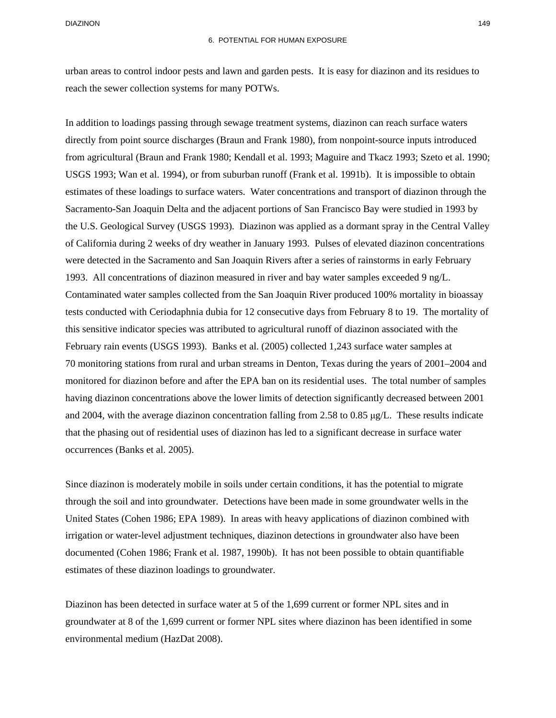urban areas to control indoor pests and lawn and garden pests. It is easy for diazinon and its residues to reach the sewer collection systems for many POTWs.

In addition to loadings passing through sewage treatment systems, diazinon can reach surface waters directly from point source discharges (Braun and Frank 1980), from nonpoint-source inputs introduced from agricultural (Braun and Frank 1980; Kendall et al. 1993; Maguire and Tkacz 1993; Szeto et al. 1990; USGS 1993; Wan et al. 1994), or from suburban runoff (Frank et al. 1991b). It is impossible to obtain estimates of these loadings to surface waters. Water concentrations and transport of diazinon through the Sacramento-San Joaquin Delta and the adjacent portions of San Francisco Bay were studied in 1993 by the U.S. Geological Survey (USGS 1993). Diazinon was applied as a dormant spray in the Central Valley of California during 2 weeks of dry weather in January 1993. Pulses of elevated diazinon concentrations were detected in the Sacramento and San Joaquin Rivers after a series of rainstorms in early February 1993. All concentrations of diazinon measured in river and bay water samples exceeded 9 ng/L. Contaminated water samples collected from the San Joaquin River produced 100% mortality in bioassay tests conducted with Ceriodaphnia dubia for 12 consecutive days from February 8 to 19. The mortality of this sensitive indicator species was attributed to agricultural runoff of diazinon associated with the February rain events (USGS 1993). Banks et al. (2005) collected 1,243 surface water samples at 70 monitoring stations from rural and urban streams in Denton, Texas during the years of 2001–2004 and monitored for diazinon before and after the EPA ban on its residential uses. The total number of samples having diazinon concentrations above the lower limits of detection significantly decreased between 2001 and 2004, with the average diazinon concentration falling from 2.58 to 0.85 μg/L. These results indicate that the phasing out of residential uses of diazinon has led to a significant decrease in surface water occurrences (Banks et al. 2005).

Since diazinon is moderately mobile in soils under certain conditions, it has the potential to migrate through the soil and into groundwater. Detections have been made in some groundwater wells in the United States (Cohen 1986; EPA 1989). In areas with heavy applications of diazinon combined with irrigation or water-level adjustment techniques, diazinon detections in groundwater also have been documented (Cohen 1986; Frank et al. 1987, 1990b). It has not been possible to obtain quantifiable estimates of these diazinon loadings to groundwater.

Diazinon has been detected in surface water at 5 of the 1,699 current or former NPL sites and in groundwater at 8 of the 1,699 current or former NPL sites where diazinon has been identified in some environmental medium (HazDat 2008).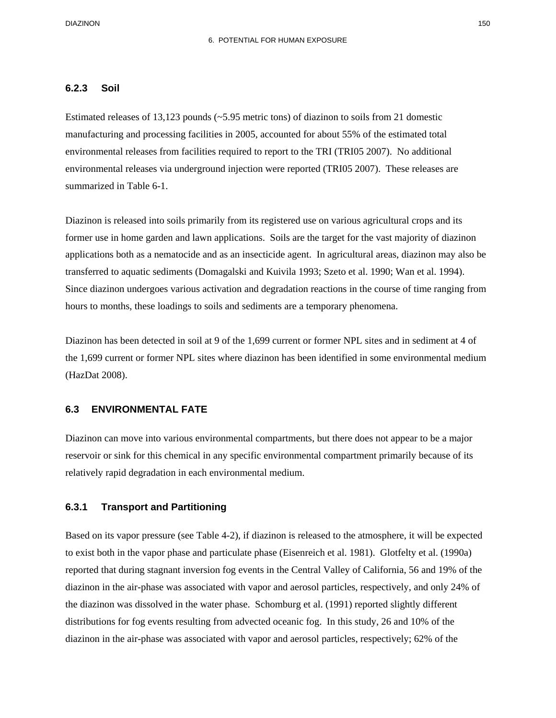### **6.2.3 Soil**

Estimated releases of 13,123 pounds (~5.95 metric tons) of diazinon to soils from 21 domestic manufacturing and processing facilities in 2005, accounted for about 55% of the estimated total environmental releases from facilities required to report to the TRI (TRI05 2007). No additional environmental releases via underground injection were reported (TRI05 2007). These releases are summarized in Table 6-1.

Diazinon is released into soils primarily from its registered use on various agricultural crops and its former use in home garden and lawn applications. Soils are the target for the vast majority of diazinon applications both as a nematocide and as an insecticide agent. In agricultural areas, diazinon may also be transferred to aquatic sediments (Domagalski and Kuivila 1993; Szeto et al. 1990; Wan et al. 1994). Since diazinon undergoes various activation and degradation reactions in the course of time ranging from hours to months, these loadings to soils and sediments are a temporary phenomena.

Diazinon has been detected in soil at 9 of the 1,699 current or former NPL sites and in sediment at 4 of the 1,699 current or former NPL sites where diazinon has been identified in some environmental medium (HazDat 2008).

### **6.3 ENVIRONMENTAL FATE**

Diazinon can move into various environmental compartments, but there does not appear to be a major reservoir or sink for this chemical in any specific environmental compartment primarily because of its relatively rapid degradation in each environmental medium.

### **6.3.1 Transport and Partitioning**

Based on its vapor pressure (see Table 4-2), if diazinon is released to the atmosphere, it will be expected to exist both in the vapor phase and particulate phase (Eisenreich et al. 1981). Glotfelty et al. (1990a) reported that during stagnant inversion fog events in the Central Valley of California, 56 and 19% of the diazinon in the air-phase was associated with vapor and aerosol particles, respectively, and only 24% of the diazinon was dissolved in the water phase. Schomburg et al. (1991) reported slightly different distributions for fog events resulting from advected oceanic fog. In this study, 26 and 10% of the diazinon in the air-phase was associated with vapor and aerosol particles, respectively; 62% of the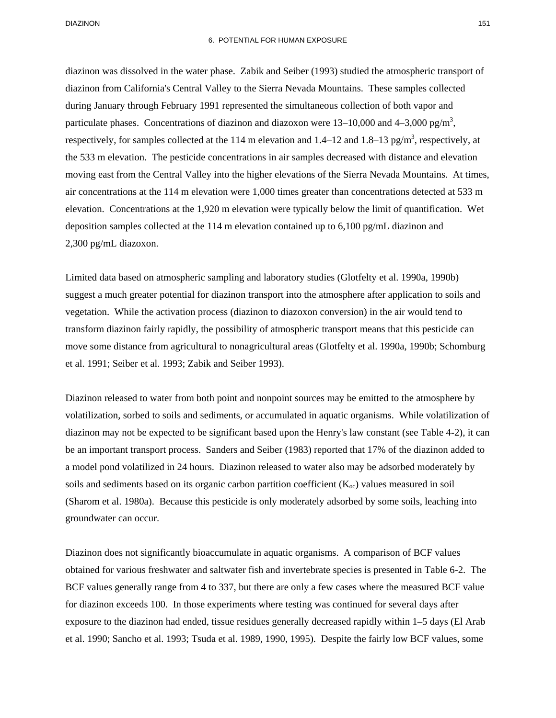diazinon was dissolved in the water phase. Zabik and Seiber (1993) studied the atmospheric transport of diazinon from California's Central Valley to the Sierra Nevada Mountains. These samples collected during January through February 1991 represented the simultaneous collection of both vapor and particulate phases. Concentrations of diazinon and diazoxon were  $13-10,000$  and  $4-3,000$  pg/m<sup>3</sup>, respectively, for samples collected at the 114 m elevation and 1.4–12 and 1.8–13 pg/m<sup>3</sup>, respectively, at the 533 m elevation. The pesticide concentrations in air samples decreased with distance and elevation moving east from the Central Valley into the higher elevations of the Sierra Nevada Mountains. At times, air concentrations at the 114 m elevation were 1,000 times greater than concentrations detected at 533 m elevation. Concentrations at the 1,920 m elevation were typically below the limit of quantification. Wet deposition samples collected at the 114 m elevation contained up to 6,100 pg/mL diazinon and 2,300 pg/mL diazoxon.

Limited data based on atmospheric sampling and laboratory studies (Glotfelty et al. 1990a, 1990b) suggest a much greater potential for diazinon transport into the atmosphere after application to soils and vegetation. While the activation process (diazinon to diazoxon conversion) in the air would tend to transform diazinon fairly rapidly, the possibility of atmospheric transport means that this pesticide can move some distance from agricultural to nonagricultural areas (Glotfelty et al. 1990a, 1990b; Schomburg et al. 1991; Seiber et al. 1993; Zabik and Seiber 1993).

Diazinon released to water from both point and nonpoint sources may be emitted to the atmosphere by volatilization, sorbed to soils and sediments, or accumulated in aquatic organisms. While volatilization of diazinon may not be expected to be significant based upon the Henry's law constant (see Table 4-2), it can be an important transport process. Sanders and Seiber (1983) reported that 17% of the diazinon added to a model pond volatilized in 24 hours. Diazinon released to water also may be adsorbed moderately by soils and sediments based on its organic carbon partition coefficient  $(K_{\text{oc}})$  values measured in soil (Sharom et al. 1980a). Because this pesticide is only moderately adsorbed by some soils, leaching into groundwater can occur.

Diazinon does not significantly bioaccumulate in aquatic organisms. A comparison of BCF values obtained for various freshwater and saltwater fish and invertebrate species is presented in Table 6-2. The BCF values generally range from 4 to 337, but there are only a few cases where the measured BCF value for diazinon exceeds 100. In those experiments where testing was continued for several days after exposure to the diazinon had ended, tissue residues generally decreased rapidly within 1–5 days (El Arab et al. 1990; Sancho et al. 1993; Tsuda et al. 1989, 1990, 1995). Despite the fairly low BCF values, some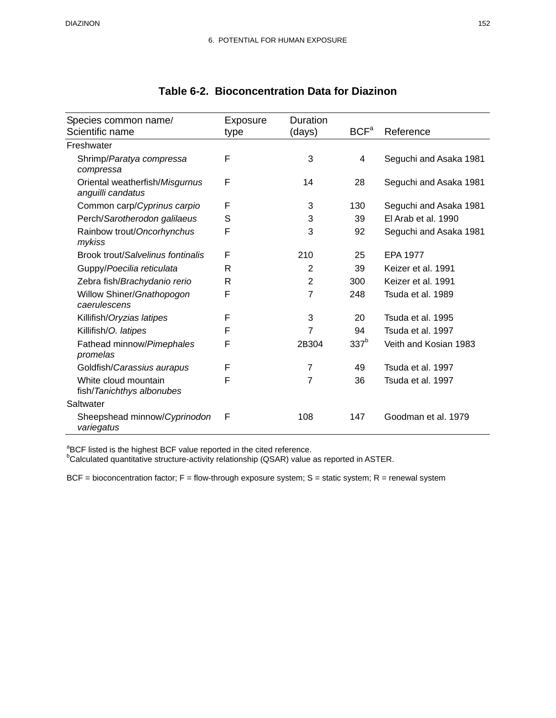| Species common name/<br>Scientific name             | Exposure<br>type | Duration<br>(days) | BCF <sup>a</sup> | Reference              |
|-----------------------------------------------------|------------------|--------------------|------------------|------------------------|
| Freshwater                                          |                  |                    |                  |                        |
| Shrimp/Paratya compressa<br>compressa               | F                | 3                  | 4                | Seguchi and Asaka 1981 |
| Oriental weatherfish/Misgurnus<br>anguilli candatus | F                | 14                 | 28               | Seguchi and Asaka 1981 |
| Common carp/Cyprinus carpio                         | F                | 3                  | 130              | Seguchi and Asaka 1981 |
| Perch/Sarotherodon galilaeus                        | S                | 3                  | 39               | El Arab et al. 1990    |
| Rainbow trout/Oncorhynchus<br>mykiss                | F                | 3                  | 92               | Seguchi and Asaka 1981 |
| <b>Brook trout/Salvelinus fontinalis</b>            | F                | 210                | 25               | EPA 1977               |
| Guppy/Poecilia reticulata                           | R                | 2                  | 39               | Keizer et al. 1991     |
| Zebra fish/Brachydanio rerio                        | R                | $\overline{2}$     | 300              | Keizer et al. 1991     |
| Willow Shiner/Gnathopogon<br>caerulescens           | F                | 7                  | 248              | Tsuda et al. 1989      |
| Killifish/Oryzias latipes                           | F                | 3                  | 20               | Tsuda et al. 1995      |
| Killifish/O. latipes                                | F                | $\overline{7}$     | 94               | Tsuda et al. 1997      |
| Fathead minnow/Pimephales<br>promelas               | F                | 2 <sub>B</sub> 304 | 337 <sup>b</sup> | Veith and Kosian 1983  |
| Goldfish/Carassius aurapus                          | F                | $\overline{7}$     | 49               | Tsuda et al. 1997      |
| White cloud mountain<br>fish/Tanichthys albonubes   | F                | 7                  | 36               | Tsuda et al. 1997      |
| Saltwater                                           |                  |                    |                  |                        |
| Sheepshead minnow/Cyprinodon<br>variegatus          | F                | 108                | 147              | Goodman et al. 1979    |

# **Table 6-2. Bioconcentration Data for Diazinon**

<sup>a</sup>BCF listed is the highest BCF value reported in the cited reference.<br><sup>b</sup>Calculated quantitative structure-activity relationship (QSAR) value as reported in ASTER.

BCF = bioconcentration factor; F = flow-through exposure system; S = static system; R = renewal system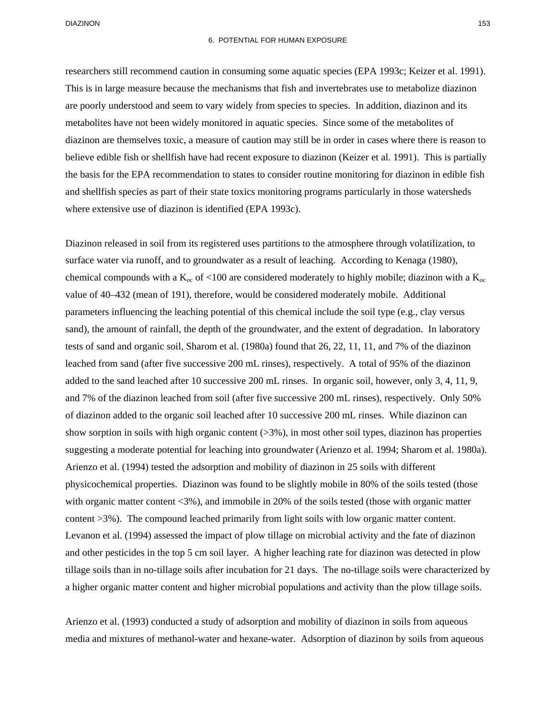researchers still recommend caution in consuming some aquatic species (EPA 1993c; Keizer et al. 1991). This is in large measure because the mechanisms that fish and invertebrates use to metabolize diazinon are poorly understood and seem to vary widely from species to species. In addition, diazinon and its metabolites have not been widely monitored in aquatic species. Since some of the metabolites of diazinon are themselves toxic, a measure of caution may still be in order in cases where there is reason to believe edible fish or shellfish have had recent exposure to diazinon (Keizer et al. 1991). This is partially the basis for the EPA recommendation to states to consider routine monitoring for diazinon in edible fish and shellfish species as part of their state toxics monitoring programs particularly in those watersheds where extensive use of diazinon is identified (EPA 1993c).

Diazinon released in soil from its registered uses partitions to the atmosphere through volatilization, to surface water via runoff, and to groundwater as a result of leaching. According to Kenaga (1980), chemical compounds with a  $K_{\rm oc}$  of <100 are considered moderately to highly mobile; diazinon with a  $K_{\rm oc}$ value of 40–432 (mean of 191), therefore, would be considered moderately mobile. Additional parameters influencing the leaching potential of this chemical include the soil type (e.g., clay versus sand), the amount of rainfall, the depth of the groundwater, and the extent of degradation. In laboratory tests of sand and organic soil, Sharom et al. (1980a) found that 26, 22, 11, 11, and 7% of the diazinon leached from sand (after five successive 200 mL rinses), respectively. A total of 95% of the diazinon added to the sand leached after 10 successive 200 mL rinses. In organic soil, however, only 3, 4, 11, 9, and 7% of the diazinon leached from soil (after five successive 200 mL rinses), respectively. Only 50% of diazinon added to the organic soil leached after 10 successive 200 mL rinses. While diazinon can show sorption in soils with high organic content  $(>3\%)$ , in most other soil types, diazinon has properties suggesting a moderate potential for leaching into groundwater (Arienzo et al. 1994; Sharom et al. 1980a). Arienzo et al. (1994) tested the adsorption and mobility of diazinon in 25 soils with different physicochemical properties. Diazinon was found to be slightly mobile in 80% of the soils tested (those with organic matter content <3%), and immobile in 20% of the soils tested (those with organic matter content >3%). The compound leached primarily from light soils with low organic matter content. Levanon et al. (1994) assessed the impact of plow tillage on microbial activity and the fate of diazinon and other pesticides in the top 5 cm soil layer. A higher leaching rate for diazinon was detected in plow tillage soils than in no-tillage soils after incubation for 21 days. The no-tillage soils were characterized by a higher organic matter content and higher microbial populations and activity than the plow tillage soils.

Arienzo et al. (1993) conducted a study of adsorption and mobility of diazinon in soils from aqueous media and mixtures of methanol-water and hexane-water. Adsorption of diazinon by soils from aqueous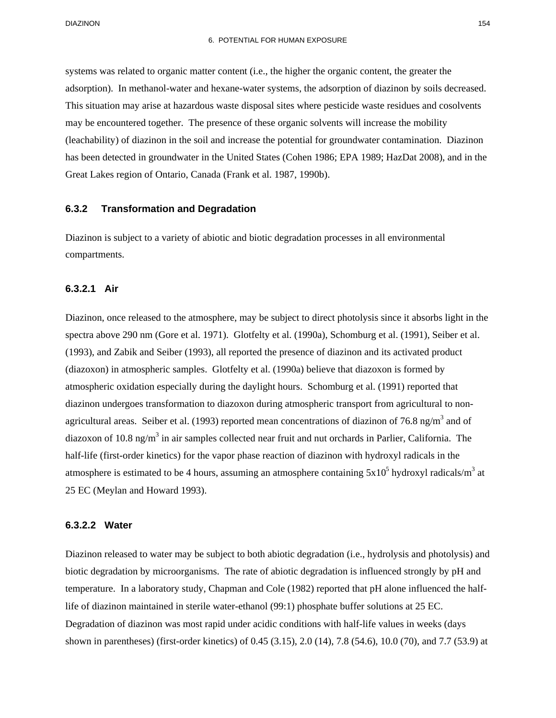systems was related to organic matter content (i.e., the higher the organic content, the greater the adsorption). In methanol-water and hexane-water systems, the adsorption of diazinon by soils decreased. This situation may arise at hazardous waste disposal sites where pesticide waste residues and cosolvents may be encountered together. The presence of these organic solvents will increase the mobility (leachability) of diazinon in the soil and increase the potential for groundwater contamination. Diazinon has been detected in groundwater in the United States (Cohen 1986; EPA 1989; HazDat 2008), and in the Great Lakes region of Ontario, Canada (Frank et al. 1987, 1990b).

### **6.3.2 Transformation and Degradation**

Diazinon is subject to a variety of abiotic and biotic degradation processes in all environmental compartments.

### **6.3.2.1 Air**

Diazinon, once released to the atmosphere, may be subject to direct photolysis since it absorbs light in the spectra above 290 nm (Gore et al. 1971). Glotfelty et al. (1990a), Schomburg et al. (1991), Seiber et al. (1993), and Zabik and Seiber (1993), all reported the presence of diazinon and its activated product (diazoxon) in atmospheric samples. Glotfelty et al. (1990a) believe that diazoxon is formed by atmospheric oxidation especially during the daylight hours. Schomburg et al. (1991) reported that diazinon undergoes transformation to diazoxon during atmospheric transport from agricultural to nonagricultural areas. Seiber et al. (1993) reported mean concentrations of diazinon of 76.8 ng/m<sup>3</sup> and of diazoxon of 10.8 ng/m<sup>3</sup> in air samples collected near fruit and nut orchards in Parlier, California. The half-life (first-order kinetics) for the vapor phase reaction of diazinon with hydroxyl radicals in the atmosphere is estimated to be 4 hours, assuming an atmosphere containing  $5x10^5$  hydroxyl radicals/m<sup>3</sup> at 25 ΕC (Meylan and Howard 1993).

### **6.3.2.2 Water**

Diazinon released to water may be subject to both abiotic degradation (i.e., hydrolysis and photolysis) and biotic degradation by microorganisms. The rate of abiotic degradation is influenced strongly by pH and temperature. In a laboratory study, Chapman and Cole (1982) reported that pH alone influenced the halflife of diazinon maintained in sterile water-ethanol (99:1) phosphate buffer solutions at 25 ΕC. Degradation of diazinon was most rapid under acidic conditions with half-life values in weeks (days shown in parentheses) (first-order kinetics) of 0.45 (3.15), 2.0 (14), 7.8 (54.6), 10.0 (70), and 7.7 (53.9) at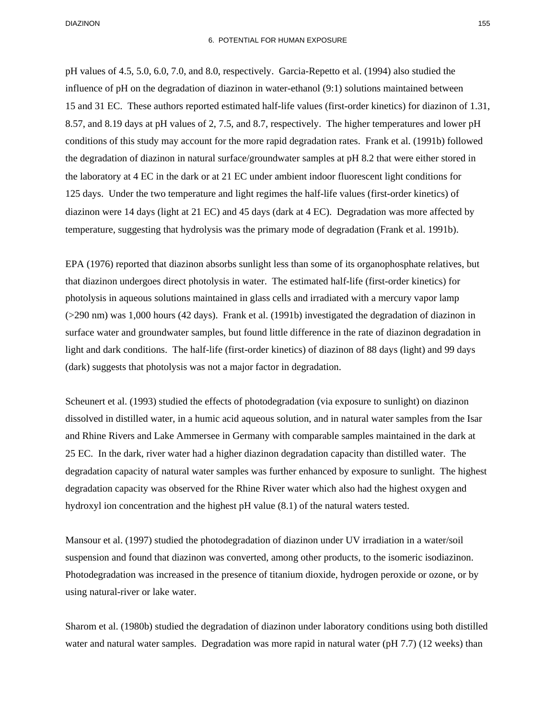#### 6. POTENTIAL FOR HUMAN EXPOSURE

pH values of 4.5, 5.0, 6.0, 7.0, and 8.0, respectively. Garcia-Repetto et al. (1994) also studied the influence of pH on the degradation of diazinon in water-ethanol (9:1) solutions maintained between 15 and 31 ΕC. These authors reported estimated half-life values (first-order kinetics) for diazinon of 1.31, 8.57, and 8.19 days at pH values of 2, 7.5, and 8.7, respectively. The higher temperatures and lower pH conditions of this study may account for the more rapid degradation rates. Frank et al. (1991b) followed the degradation of diazinon in natural surface/groundwater samples at pH 8.2 that were either stored in the laboratory at 4 ΕC in the dark or at 21 ΕC under ambient indoor fluorescent light conditions for 125 days. Under the two temperature and light regimes the half-life values (first-order kinetics) of diazinon were 14 days (light at 21 ΕC) and 45 days (dark at 4 ΕC). Degradation was more affected by temperature, suggesting that hydrolysis was the primary mode of degradation (Frank et al. 1991b).

EPA (1976) reported that diazinon absorbs sunlight less than some of its organophosphate relatives, but that diazinon undergoes direct photolysis in water. The estimated half-life (first-order kinetics) for photolysis in aqueous solutions maintained in glass cells and irradiated with a mercury vapor lamp (>290 nm) was 1,000 hours (42 days). Frank et al. (1991b) investigated the degradation of diazinon in surface water and groundwater samples, but found little difference in the rate of diazinon degradation in light and dark conditions. The half-life (first-order kinetics) of diazinon of 88 days (light) and 99 days (dark) suggests that photolysis was not a major factor in degradation.

Scheunert et al. (1993) studied the effects of photodegradation (via exposure to sunlight) on diazinon dissolved in distilled water, in a humic acid aqueous solution, and in natural water samples from the Isar and Rhine Rivers and Lake Ammersee in Germany with comparable samples maintained in the dark at 25 ΕC. In the dark, river water had a higher diazinon degradation capacity than distilled water. The degradation capacity of natural water samples was further enhanced by exposure to sunlight. The highest degradation capacity was observed for the Rhine River water which also had the highest oxygen and hydroxyl ion concentration and the highest pH value (8.1) of the natural waters tested.

Mansour et al. (1997) studied the photodegradation of diazinon under UV irradiation in a water/soil suspension and found that diazinon was converted, among other products, to the isomeric isodiazinon. Photodegradation was increased in the presence of titanium dioxide, hydrogen peroxide or ozone, or by using natural-river or lake water.

Sharom et al. (1980b) studied the degradation of diazinon under laboratory conditions using both distilled water and natural water samples. Degradation was more rapid in natural water (pH 7.7) (12 weeks) than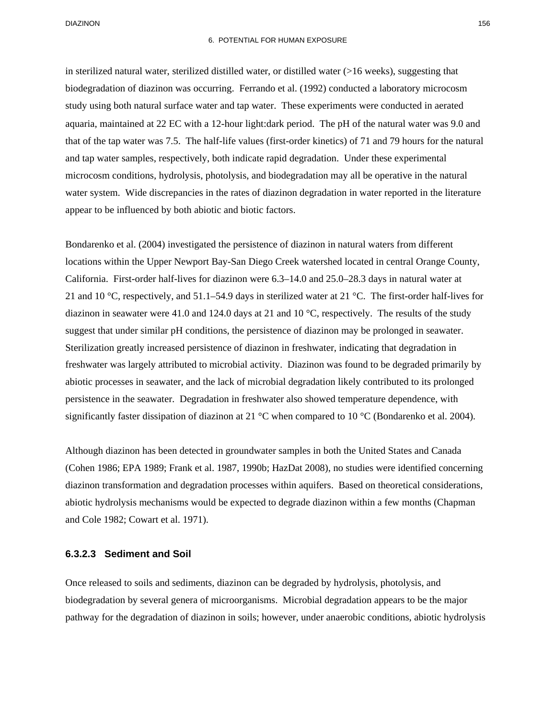#### 6. POTENTIAL FOR HUMAN EXPOSURE

in sterilized natural water, sterilized distilled water, or distilled water (>16 weeks), suggesting that biodegradation of diazinon was occurring. Ferrando et al. (1992) conducted a laboratory microcosm study using both natural surface water and tap water. These experiments were conducted in aerated aquaria, maintained at 22 ΕC with a 12-hour light:dark period. The pH of the natural water was 9.0 and that of the tap water was 7.5. The half-life values (first-order kinetics) of 71 and 79 hours for the natural and tap water samples, respectively, both indicate rapid degradation. Under these experimental microcosm conditions, hydrolysis, photolysis, and biodegradation may all be operative in the natural water system. Wide discrepancies in the rates of diazinon degradation in water reported in the literature appear to be influenced by both abiotic and biotic factors.

Bondarenko et al. (2004) investigated the persistence of diazinon in natural waters from different locations within the Upper Newport Bay-San Diego Creek watershed located in central Orange County, California. First-order half-lives for diazinon were 6.3–14.0 and 25.0–28.3 days in natural water at 21 and 10 °C, respectively, and 51.1–54.9 days in sterilized water at 21 °C. The first-order half-lives for diazinon in seawater were 41.0 and 124.0 days at 21 and 10  $^{\circ}$ C, respectively. The results of the study suggest that under similar pH conditions, the persistence of diazinon may be prolonged in seawater. Sterilization greatly increased persistence of diazinon in freshwater, indicating that degradation in freshwater was largely attributed to microbial activity. Diazinon was found to be degraded primarily by abiotic processes in seawater, and the lack of microbial degradation likely contributed to its prolonged persistence in the seawater. Degradation in freshwater also showed temperature dependence, with significantly faster dissipation of diazinon at 21 °C when compared to 10 °C (Bondarenko et al. 2004).

Although diazinon has been detected in groundwater samples in both the United States and Canada (Cohen 1986; EPA 1989; Frank et al. 1987, 1990b; HazDat 2008), no studies were identified concerning diazinon transformation and degradation processes within aquifers. Based on theoretical considerations, abiotic hydrolysis mechanisms would be expected to degrade diazinon within a few months (Chapman and Cole 1982; Cowart et al. 1971).

### **6.3.2.3 Sediment and Soil**

Once released to soils and sediments, diazinon can be degraded by hydrolysis, photolysis, and biodegradation by several genera of microorganisms. Microbial degradation appears to be the major pathway for the degradation of diazinon in soils; however, under anaerobic conditions, abiotic hydrolysis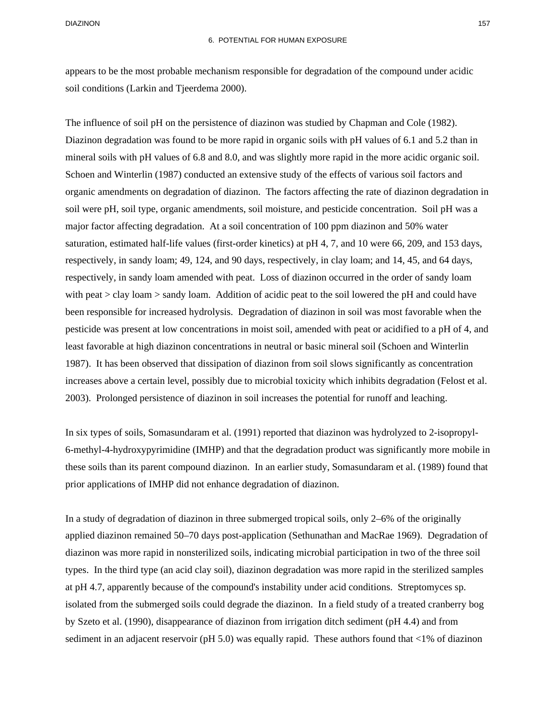appears to be the most probable mechanism responsible for degradation of the compound under acidic soil conditions (Larkin and Tjeerdema 2000).

The influence of soil pH on the persistence of diazinon was studied by Chapman and Cole (1982). Diazinon degradation was found to be more rapid in organic soils with pH values of 6.1 and 5.2 than in mineral soils with pH values of 6.8 and 8.0, and was slightly more rapid in the more acidic organic soil. Schoen and Winterlin (1987) conducted an extensive study of the effects of various soil factors and organic amendments on degradation of diazinon. The factors affecting the rate of diazinon degradation in soil were pH, soil type, organic amendments, soil moisture, and pesticide concentration. Soil pH was a major factor affecting degradation. At a soil concentration of 100 ppm diazinon and 50% water saturation, estimated half-life values (first-order kinetics) at pH 4, 7, and 10 were 66, 209, and 153 days, respectively, in sandy loam; 49, 124, and 90 days, respectively, in clay loam; and 14, 45, and 64 days, respectively, in sandy loam amended with peat. Loss of diazinon occurred in the order of sandy loam with peat > clay loam > sandy loam. Addition of acidic peat to the soil lowered the pH and could have been responsible for increased hydrolysis. Degradation of diazinon in soil was most favorable when the pesticide was present at low concentrations in moist soil, amended with peat or acidified to a pH of 4, and least favorable at high diazinon concentrations in neutral or basic mineral soil (Schoen and Winterlin 1987). It has been observed that dissipation of diazinon from soil slows significantly as concentration increases above a certain level, possibly due to microbial toxicity which inhibits degradation (Felost et al. 2003). Prolonged persistence of diazinon in soil increases the potential for runoff and leaching.

In six types of soils, Somasundaram et al. (1991) reported that diazinon was hydrolyzed to 2-isopropyl-6-methyl-4-hydroxypyrimidine (IMHP) and that the degradation product was significantly more mobile in these soils than its parent compound diazinon. In an earlier study, Somasundaram et al. (1989) found that prior applications of IMHP did not enhance degradation of diazinon.

In a study of degradation of diazinon in three submerged tropical soils, only 2–6% of the originally applied diazinon remained 50–70 days post-application (Sethunathan and MacRae 1969). Degradation of diazinon was more rapid in nonsterilized soils, indicating microbial participation in two of the three soil types. In the third type (an acid clay soil), diazinon degradation was more rapid in the sterilized samples at pH 4.7, apparently because of the compound's instability under acid conditions. Streptomyces sp. isolated from the submerged soils could degrade the diazinon. In a field study of a treated cranberry bog by Szeto et al. (1990), disappearance of diazinon from irrigation ditch sediment (pH 4.4) and from sediment in an adjacent reservoir (pH 5.0) was equally rapid. These authors found that <1% of diazinon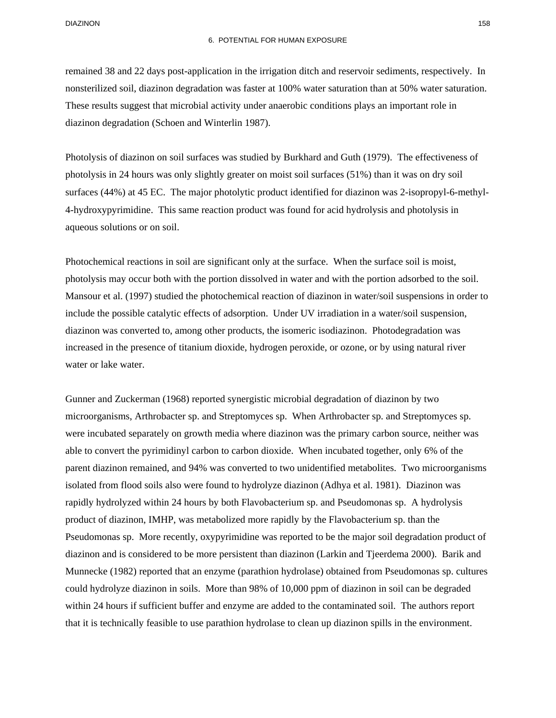#### 6. POTENTIAL FOR HUMAN EXPOSURE

remained 38 and 22 days post-application in the irrigation ditch and reservoir sediments, respectively. In nonsterilized soil, diazinon degradation was faster at 100% water saturation than at 50% water saturation. These results suggest that microbial activity under anaerobic conditions plays an important role in diazinon degradation (Schoen and Winterlin 1987).

Photolysis of diazinon on soil surfaces was studied by Burkhard and Guth (1979). The effectiveness of photolysis in 24 hours was only slightly greater on moist soil surfaces (51%) than it was on dry soil surfaces (44%) at 45 EC. The major photolytic product identified for diazinon was 2-isopropyl-6-methyl-4-hydroxypyrimidine. This same reaction product was found for acid hydrolysis and photolysis in aqueous solutions or on soil.

Photochemical reactions in soil are significant only at the surface. When the surface soil is moist, photolysis may occur both with the portion dissolved in water and with the portion adsorbed to the soil. Mansour et al. (1997) studied the photochemical reaction of diazinon in water/soil suspensions in order to include the possible catalytic effects of adsorption. Under UV irradiation in a water/soil suspension, diazinon was converted to, among other products, the isomeric isodiazinon. Photodegradation was increased in the presence of titanium dioxide, hydrogen peroxide, or ozone, or by using natural river water or lake water.

Gunner and Zuckerman (1968) reported synergistic microbial degradation of diazinon by two microorganisms, Arthrobacter sp. and Streptomyces sp. When Arthrobacter sp. and Streptomyces sp. were incubated separately on growth media where diazinon was the primary carbon source, neither was able to convert the pyrimidinyl carbon to carbon dioxide. When incubated together, only 6% of the parent diazinon remained, and 94% was converted to two unidentified metabolites. Two microorganisms isolated from flood soils also were found to hydrolyze diazinon (Adhya et al. 1981). Diazinon was rapidly hydrolyzed within 24 hours by both Flavobacterium sp. and Pseudomonas sp. A hydrolysis product of diazinon, IMHP, was metabolized more rapidly by the Flavobacterium sp. than the Pseudomonas sp. More recently, oxypyrimidine was reported to be the major soil degradation product of diazinon and is considered to be more persistent than diazinon (Larkin and Tjeerdema 2000). Barik and Munnecke (1982) reported that an enzyme (parathion hydrolase) obtained from Pseudomonas sp. cultures could hydrolyze diazinon in soils. More than 98% of 10,000 ppm of diazinon in soil can be degraded within 24 hours if sufficient buffer and enzyme are added to the contaminated soil. The authors report that it is technically feasible to use parathion hydrolase to clean up diazinon spills in the environment.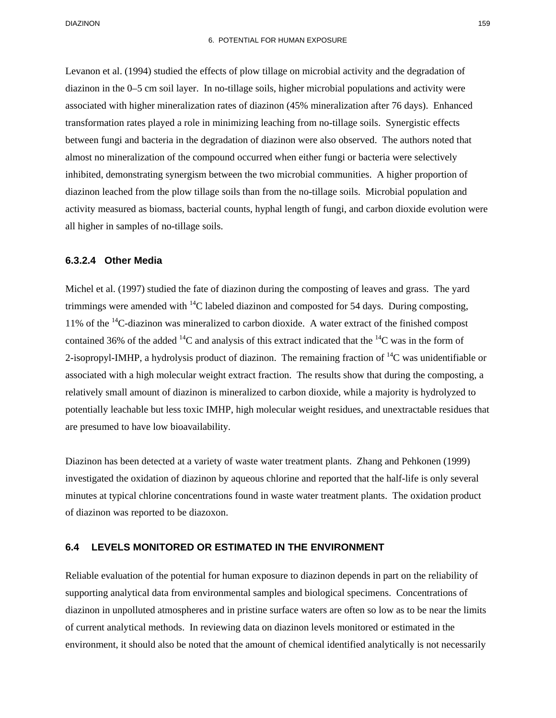Levanon et al. (1994) studied the effects of plow tillage on microbial activity and the degradation of diazinon in the 0–5 cm soil layer. In no-tillage soils, higher microbial populations and activity were associated with higher mineralization rates of diazinon (45% mineralization after 76 days). Enhanced transformation rates played a role in minimizing leaching from no-tillage soils. Synergistic effects between fungi and bacteria in the degradation of diazinon were also observed. The authors noted that almost no mineralization of the compound occurred when either fungi or bacteria were selectively inhibited, demonstrating synergism between the two microbial communities. A higher proportion of diazinon leached from the plow tillage soils than from the no-tillage soils. Microbial population and activity measured as biomass, bacterial counts, hyphal length of fungi, and carbon dioxide evolution were all higher in samples of no-tillage soils.

### **6.3.2.4 Other Media**

Michel et al. (1997) studied the fate of diazinon during the composting of leaves and grass. The yard trimmings were amended with  $^{14}C$  labeled diazinon and composted for 54 days. During composting, 11% of the 14C-diazinon was mineralized to carbon dioxide. A water extract of the finished compost contained 36% of the added  ${}^{14}C$  and analysis of this extract indicated that the  ${}^{14}C$  was in the form of 2-isopropyl-IMHP, a hydrolysis product of diazinon. The remaining fraction of  ${}^{14}C$  was unidentifiable or associated with a high molecular weight extract fraction. The results show that during the composting, a relatively small amount of diazinon is mineralized to carbon dioxide, while a majority is hydrolyzed to potentially leachable but less toxic IMHP, high molecular weight residues, and unextractable residues that are presumed to have low bioavailability.

Diazinon has been detected at a variety of waste water treatment plants. Zhang and Pehkonen (1999) investigated the oxidation of diazinon by aqueous chlorine and reported that the half-life is only several minutes at typical chlorine concentrations found in waste water treatment plants. The oxidation product of diazinon was reported to be diazoxon.

### **6.4 LEVELS MONITORED OR ESTIMATED IN THE ENVIRONMENT**

Reliable evaluation of the potential for human exposure to diazinon depends in part on the reliability of supporting analytical data from environmental samples and biological specimens. Concentrations of diazinon in unpolluted atmospheres and in pristine surface waters are often so low as to be near the limits of current analytical methods. In reviewing data on diazinon levels monitored or estimated in the environment, it should also be noted that the amount of chemical identified analytically is not necessarily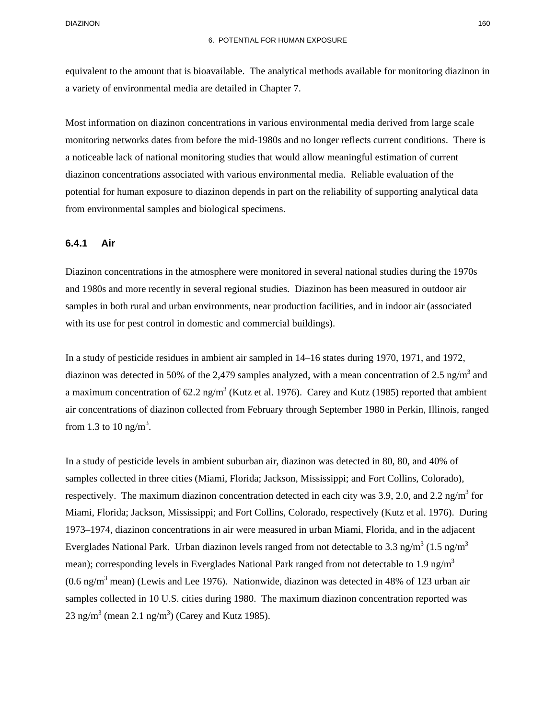equivalent to the amount that is bioavailable. The analytical methods available for monitoring diazinon in a variety of environmental media are detailed in Chapter 7.

Most information on diazinon concentrations in various environmental media derived from large scale monitoring networks dates from before the mid-1980s and no longer reflects current conditions. There is a noticeable lack of national monitoring studies that would allow meaningful estimation of current diazinon concentrations associated with various environmental media. Reliable evaluation of the potential for human exposure to diazinon depends in part on the reliability of supporting analytical data from environmental samples and biological specimens.

### **6.4.1 Air**

Diazinon concentrations in the atmosphere were monitored in several national studies during the 1970s and 1980s and more recently in several regional studies. Diazinon has been measured in outdoor air samples in both rural and urban environments, near production facilities, and in indoor air (associated with its use for pest control in domestic and commercial buildings).

In a study of pesticide residues in ambient air sampled in 14–16 states during 1970, 1971, and 1972, diazinon was detected in 50% of the 2,479 samples analyzed, with a mean concentration of 2.5 ng/m<sup>3</sup> and a maximum concentration of 62.2 ng/m<sup>3</sup> (Kutz et al. 1976). Carey and Kutz (1985) reported that ambient air concentrations of diazinon collected from February through September 1980 in Perkin, Illinois, ranged from 1.3 to 10 ng/m<sup>3</sup>.

In a study of pesticide levels in ambient suburban air, diazinon was detected in 80, 80, and 40% of samples collected in three cities (Miami, Florida; Jackson, Mississippi; and Fort Collins, Colorado), respectively. The maximum diazinon concentration detected in each city was 3.9, 2.0, and 2.2 ng/m<sup>3</sup> for Miami, Florida; Jackson, Mississippi; and Fort Collins, Colorado, respectively (Kutz et al. 1976). During 1973–1974, diazinon concentrations in air were measured in urban Miami, Florida, and in the adjacent Everglades National Park. Urban diazinon levels ranged from not detectable to 3.3 ng/m<sup>3</sup> (1.5 ng/m<sup>3</sup>) mean); corresponding levels in Everglades National Park ranged from not detectable to 1.9 ng/m<sup>3</sup>  $(0.6 \text{ ng/m}^3 \text{ mean})$  (Lewis and Lee 1976). Nationwide, diazinon was detected in 48% of 123 urban air samples collected in 10 U.S. cities during 1980. The maximum diazinon concentration reported was  $23 \text{ ng/m}^3$  (mean 2.1 ng/m<sup>3</sup>) (Carey and Kutz 1985).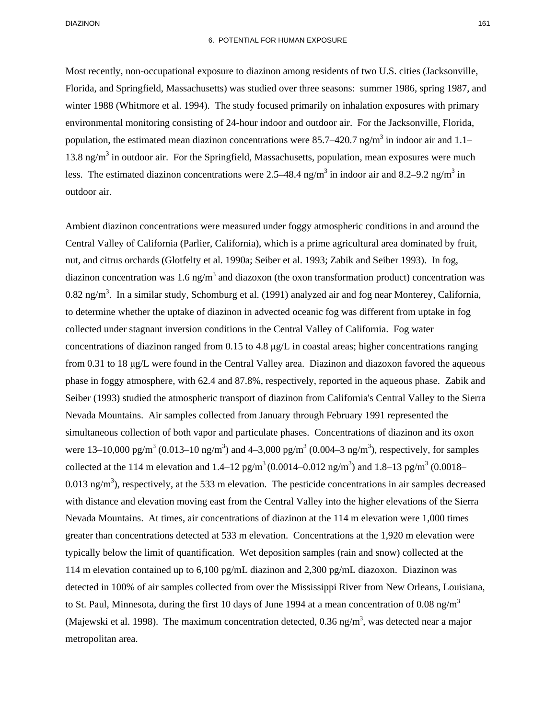#### 6. POTENTIAL FOR HUMAN EXPOSURE

Most recently, non-occupational exposure to diazinon among residents of two U.S. cities (Jacksonville, Florida, and Springfield, Massachusetts) was studied over three seasons: summer 1986, spring 1987, and winter 1988 (Whitmore et al. 1994). The study focused primarily on inhalation exposures with primary environmental monitoring consisting of 24-hour indoor and outdoor air. For the Jacksonville, Florida, population, the estimated mean diazinon concentrations were 85.7–420.7 ng/m<sup>3</sup> in indoor air and 1.1– 13.8 ng/ $m<sup>3</sup>$  in outdoor air. For the Springfield, Massachusetts, population, mean exposures were much less. The estimated diazinon concentrations were 2.5–48.4 ng/m<sup>3</sup> in indoor air and 8.2–9.2 ng/m<sup>3</sup> in outdoor air.

Ambient diazinon concentrations were measured under foggy atmospheric conditions in and around the Central Valley of California (Parlier, California), which is a prime agricultural area dominated by fruit, nut, and citrus orchards (Glotfelty et al. 1990a; Seiber et al. 1993; Zabik and Seiber 1993). In fog, diazinon concentration was 1.6 ng/ $m<sup>3</sup>$  and diazoxon (the oxon transformation product) concentration was  $0.82$  ng/m<sup>3</sup>. In a similar study, Schomburg et al. (1991) analyzed air and fog near Monterey, California, to determine whether the uptake of diazinon in advected oceanic fog was different from uptake in fog collected under stagnant inversion conditions in the Central Valley of California. Fog water concentrations of diazinon ranged from 0.15 to 4.8 μg/L in coastal areas; higher concentrations ranging from 0.31 to 18 μg/L were found in the Central Valley area. Diazinon and diazoxon favored the aqueous phase in foggy atmosphere, with 62.4 and 87.8%, respectively, reported in the aqueous phase. Zabik and Seiber (1993) studied the atmospheric transport of diazinon from California's Central Valley to the Sierra Nevada Mountains. Air samples collected from January through February 1991 represented the simultaneous collection of both vapor and particulate phases. Concentrations of diazinon and its oxon were 13–10,000 pg/m<sup>3</sup> (0.013–10 ng/m<sup>3</sup>) and 4–3,000 pg/m<sup>3</sup> (0.004–3 ng/m<sup>3</sup>), respectively, for samples collected at the 114 m elevation and 1.4–12 pg/m<sup>3</sup> (0.0014–0.012 ng/m<sup>3</sup>) and 1.8–13 pg/m<sup>3</sup> (0.0018– 0.013 ng/ $m<sup>3</sup>$ ), respectively, at the 533 m elevation. The pesticide concentrations in air samples decreased with distance and elevation moving east from the Central Valley into the higher elevations of the Sierra Nevada Mountains. At times, air concentrations of diazinon at the 114 m elevation were 1,000 times greater than concentrations detected at 533 m elevation. Concentrations at the 1,920 m elevation were typically below the limit of quantification. Wet deposition samples (rain and snow) collected at the 114 m elevation contained up to 6,100 pg/mL diazinon and 2,300 pg/mL diazoxon. Diazinon was detected in 100% of air samples collected from over the Mississippi River from New Orleans, Louisiana, to St. Paul, Minnesota, during the first 10 days of June 1994 at a mean concentration of 0.08 ng/m<sup>3</sup> (Majewski et al. 1998). The maximum concentration detected, 0.36 ng/m<sup>3</sup>, was detected near a major metropolitan area.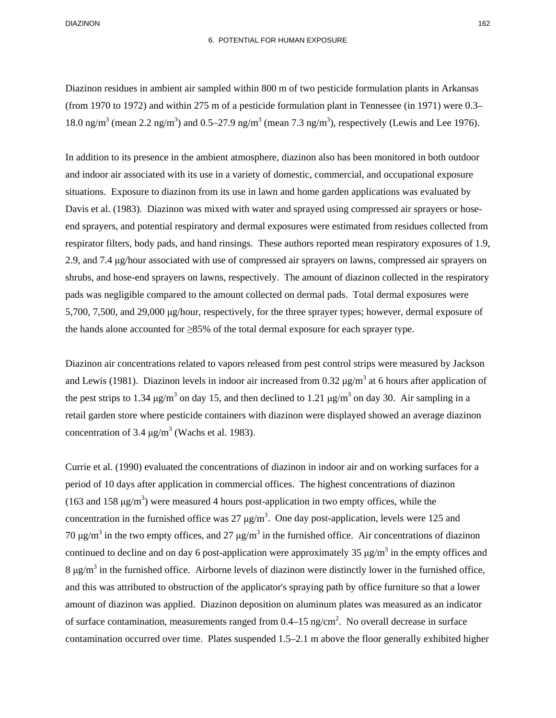#### 6. POTENTIAL FOR HUMAN EXPOSURE

Diazinon residues in ambient air sampled within 800 m of two pesticide formulation plants in Arkansas (from 1970 to 1972) and within 275 m of a pesticide formulation plant in Tennessee (in 1971) were 0.3– 18.0 ng/m<sup>3</sup> (mean 2.2 ng/m<sup>3</sup>) and 0.5–27.9 ng/m<sup>3</sup> (mean 7.3 ng/m<sup>3</sup>), respectively (Lewis and Lee 1976).

In addition to its presence in the ambient atmosphere, diazinon also has been monitored in both outdoor and indoor air associated with its use in a variety of domestic, commercial, and occupational exposure situations. Exposure to diazinon from its use in lawn and home garden applications was evaluated by Davis et al. (1983). Diazinon was mixed with water and sprayed using compressed air sprayers or hoseend sprayers, and potential respiratory and dermal exposures were estimated from residues collected from respirator filters, body pads, and hand rinsings. These authors reported mean respiratory exposures of 1.9, 2.9, and 7.4 μg/hour associated with use of compressed air sprayers on lawns, compressed air sprayers on shrubs, and hose-end sprayers on lawns, respectively. The amount of diazinon collected in the respiratory pads was negligible compared to the amount collected on dermal pads. Total dermal exposures were 5,700, 7,500, and 29,000 μg/hour, respectively, for the three sprayer types; however, dermal exposure of the hands alone accounted for ≥85% of the total dermal exposure for each sprayer type.

Diazinon air concentrations related to vapors released from pest control strips were measured by Jackson and Lewis (1981). Diazinon levels in indoor air increased from 0.32  $\mu$ g/m<sup>3</sup> at 6 hours after application of the pest strips to 1.34  $\mu$ g/m<sup>3</sup> on day 15, and then declined to 1.21  $\mu$ g/m<sup>3</sup> on day 30. Air sampling in a retail garden store where pesticide containers with diazinon were displayed showed an average diazinon concentration of 3.4  $\mu$ g/m<sup>3</sup> (Wachs et al. 1983).

Currie et al. (1990) evaluated the concentrations of diazinon in indoor air and on working surfaces for a period of 10 days after application in commercial offices. The highest concentrations of diazinon (163 and 158  $\mu$ g/m<sup>3</sup>) were measured 4 hours post-application in two empty offices, while the concentration in the furnished office was 27  $\mu$ g/m<sup>3</sup>. One day post-application, levels were 125 and 70 μg/m<sup>3</sup> in the two empty offices, and 27 μg/m<sup>3</sup> in the furnished office. Air concentrations of diazinon continued to decline and on day 6 post-application were approximately 35  $\mu$ g/m<sup>3</sup> in the empty offices and  $8 \mu g/m<sup>3</sup>$  in the furnished office. Airborne levels of diazinon were distinctly lower in the furnished office, and this was attributed to obstruction of the applicator's spraying path by office furniture so that a lower amount of diazinon was applied. Diazinon deposition on aluminum plates was measured as an indicator of surface contamination, measurements ranged from  $0.4-15$  ng/cm<sup>2</sup>. No overall decrease in surface contamination occurred over time. Plates suspended 1.5–2.1 m above the floor generally exhibited higher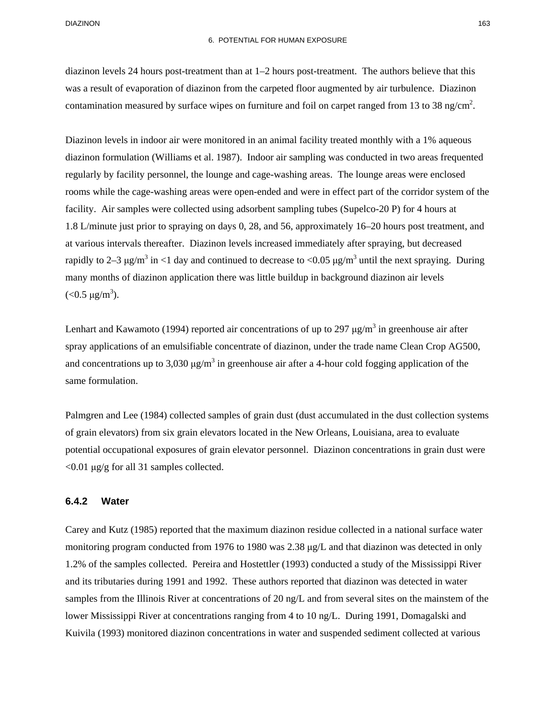diazinon levels 24 hours post-treatment than at 1–2 hours post-treatment. The authors believe that this was a result of evaporation of diazinon from the carpeted floor augmented by air turbulence. Diazinon contamination measured by surface wipes on furniture and foil on carpet ranged from 13 to 38 ng/cm<sup>2</sup>.

Diazinon levels in indoor air were monitored in an animal facility treated monthly with a 1% aqueous diazinon formulation (Williams et al. 1987). Indoor air sampling was conducted in two areas frequented regularly by facility personnel, the lounge and cage-washing areas. The lounge areas were enclosed rooms while the cage-washing areas were open-ended and were in effect part of the corridor system of the facility. Air samples were collected using adsorbent sampling tubes (Supelco-20 P) for 4 hours at 1.8 L/minute just prior to spraying on days 0, 28, and 56, approximately 16–20 hours post treatment, and at various intervals thereafter. Diazinon levels increased immediately after spraying, but decreased rapidly to 2–3  $\mu$ g/m<sup>3</sup> in <1 day and continued to decrease to <0.05  $\mu$ g/m<sup>3</sup> until the next spraying. During many months of diazinon application there was little buildup in background diazinon air levels  $(<0.5 \text{ }\mu\text{g/m}^3).$ 

Lenhart and Kawamoto (1994) reported air concentrations of up to 297  $\mu$ g/m<sup>3</sup> in greenhouse air after spray applications of an emulsifiable concentrate of diazinon, under the trade name Clean Crop AG500, and concentrations up to 3,030  $\mu$ g/m<sup>3</sup> in greenhouse air after a 4-hour cold fogging application of the same formulation.

Palmgren and Lee (1984) collected samples of grain dust (dust accumulated in the dust collection systems of grain elevators) from six grain elevators located in the New Orleans, Louisiana, area to evaluate potential occupational exposures of grain elevator personnel. Diazinon concentrations in grain dust were <0.01 μg/g for all 31 samples collected.

### **6.4.2 Water**

Carey and Kutz (1985) reported that the maximum diazinon residue collected in a national surface water monitoring program conducted from 1976 to 1980 was 2.38 μg/L and that diazinon was detected in only 1.2% of the samples collected. Pereira and Hostettler (1993) conducted a study of the Mississippi River and its tributaries during 1991 and 1992. These authors reported that diazinon was detected in water samples from the Illinois River at concentrations of 20 ng/L and from several sites on the mainstem of the lower Mississippi River at concentrations ranging from 4 to 10 ng/L. During 1991, Domagalski and Kuivila (1993) monitored diazinon concentrations in water and suspended sediment collected at various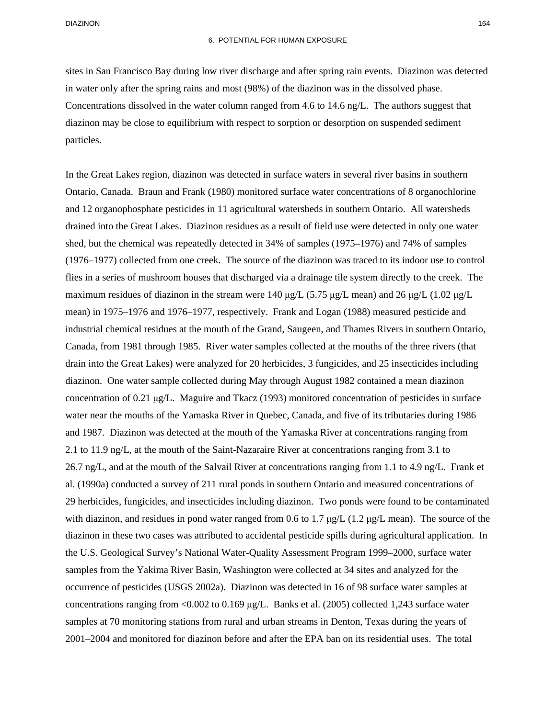sites in San Francisco Bay during low river discharge and after spring rain events. Diazinon was detected in water only after the spring rains and most (98%) of the diazinon was in the dissolved phase. Concentrations dissolved in the water column ranged from 4.6 to 14.6 ng/L. The authors suggest that diazinon may be close to equilibrium with respect to sorption or desorption on suspended sediment particles.

In the Great Lakes region, diazinon was detected in surface waters in several river basins in southern Ontario, Canada. Braun and Frank (1980) monitored surface water concentrations of 8 organochlorine and 12 organophosphate pesticides in 11 agricultural watersheds in southern Ontario. All watersheds drained into the Great Lakes. Diazinon residues as a result of field use were detected in only one water shed, but the chemical was repeatedly detected in 34% of samples (1975–1976) and 74% of samples (1976–1977) collected from one creek. The source of the diazinon was traced to its indoor use to control flies in a series of mushroom houses that discharged via a drainage tile system directly to the creek. The maximum residues of diazinon in the stream were 140 μg/L (5.75 μg/L mean) and 26 μg/L (1.02 μg/L mean) in 1975–1976 and 1976–1977, respectively. Frank and Logan (1988) measured pesticide and industrial chemical residues at the mouth of the Grand, Saugeen, and Thames Rivers in southern Ontario, Canada, from 1981 through 1985. River water samples collected at the mouths of the three rivers (that drain into the Great Lakes) were analyzed for 20 herbicides, 3 fungicides, and 25 insecticides including diazinon. One water sample collected during May through August 1982 contained a mean diazinon concentration of 0.21 μg/L. Maguire and Tkacz (1993) monitored concentration of pesticides in surface water near the mouths of the Yamaska River in Quebec, Canada, and five of its tributaries during 1986 and 1987. Diazinon was detected at the mouth of the Yamaska River at concentrations ranging from 2.1 to 11.9 ng/L, at the mouth of the Saint-Nazaraire River at concentrations ranging from 3.1 to 26.7 ng/L, and at the mouth of the Salvail River at concentrations ranging from 1.1 to 4.9 ng/L. Frank et al. (1990a) conducted a survey of 211 rural ponds in southern Ontario and measured concentrations of 29 herbicides, fungicides, and insecticides including diazinon. Two ponds were found to be contaminated with diazinon, and residues in pond water ranged from 0.6 to 1.7 μg/L (1.2 μg/L mean). The source of the diazinon in these two cases was attributed to accidental pesticide spills during agricultural application. In the U.S. Geological Survey's National Water-Quality Assessment Program 1999–2000, surface water samples from the Yakima River Basin, Washington were collected at 34 sites and analyzed for the occurrence of pesticides (USGS 2002a). Diazinon was detected in 16 of 98 surface water samples at concentrations ranging from <0.002 to 0.169 μg/L. Banks et al. (2005) collected 1,243 surface water samples at 70 monitoring stations from rural and urban streams in Denton, Texas during the years of 2001–2004 and monitored for diazinon before and after the EPA ban on its residential uses. The total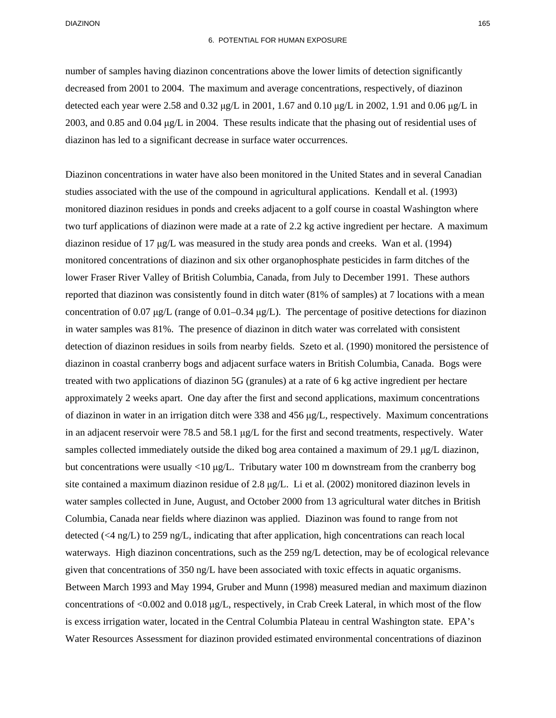#### 6. POTENTIAL FOR HUMAN EXPOSURE

number of samples having diazinon concentrations above the lower limits of detection significantly decreased from 2001 to 2004. The maximum and average concentrations, respectively, of diazinon detected each year were 2.58 and 0.32 μg/L in 2001, 1.67 and 0.10 μg/L in 2002, 1.91 and 0.06 μg/L in 2003, and 0.85 and 0.04 μg/L in 2004. These results indicate that the phasing out of residential uses of diazinon has led to a significant decrease in surface water occurrences.

Diazinon concentrations in water have also been monitored in the United States and in several Canadian studies associated with the use of the compound in agricultural applications. Kendall et al. (1993) monitored diazinon residues in ponds and creeks adjacent to a golf course in coastal Washington where two turf applications of diazinon were made at a rate of 2.2 kg active ingredient per hectare. A maximum diazinon residue of 17 μg/L was measured in the study area ponds and creeks. Wan et al. (1994) monitored concentrations of diazinon and six other organophosphate pesticides in farm ditches of the lower Fraser River Valley of British Columbia, Canada, from July to December 1991. These authors reported that diazinon was consistently found in ditch water (81% of samples) at 7 locations with a mean concentration of 0.07 μg/L (range of 0.01–0.34 μg/L). The percentage of positive detections for diazinon in water samples was 81%. The presence of diazinon in ditch water was correlated with consistent detection of diazinon residues in soils from nearby fields. Szeto et al. (1990) monitored the persistence of diazinon in coastal cranberry bogs and adjacent surface waters in British Columbia, Canada. Bogs were treated with two applications of diazinon 5G (granules) at a rate of 6 kg active ingredient per hectare approximately 2 weeks apart. One day after the first and second applications, maximum concentrations of diazinon in water in an irrigation ditch were 338 and 456 μg/L, respectively. Maximum concentrations in an adjacent reservoir were 78.5 and 58.1 μg/L for the first and second treatments, respectively. Water samples collected immediately outside the diked bog area contained a maximum of 29.1 μg/L diazinon, but concentrations were usually <10 μg/L. Tributary water 100 m downstream from the cranberry bog site contained a maximum diazinon residue of 2.8 μg/L. Li et al. (2002) monitored diazinon levels in water samples collected in June, August, and October 2000 from 13 agricultural water ditches in British Columbia, Canada near fields where diazinon was applied. Diazinon was found to range from not detected (<4 ng/L) to 259 ng/L, indicating that after application, high concentrations can reach local waterways. High diazinon concentrations, such as the 259 ng/L detection, may be of ecological relevance given that concentrations of 350 ng/L have been associated with toxic effects in aquatic organisms. Between March 1993 and May 1994, Gruber and Munn (1998) measured median and maximum diazinon concentrations of  $\langle 0.002 \text{ and } 0.018 \mu \text{g/L}$ , respectively, in Crab Creek Lateral, in which most of the flow is excess irrigation water, located in the Central Columbia Plateau in central Washington state. EPA's Water Resources Assessment for diazinon provided estimated environmental concentrations of diazinon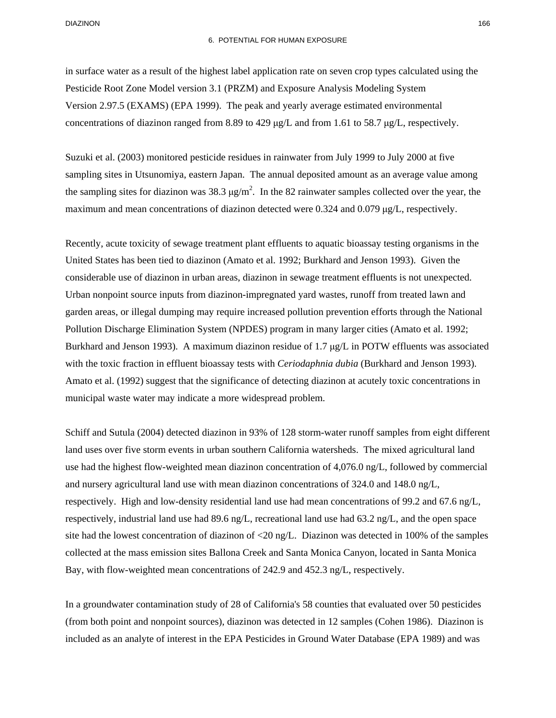#### 6. POTENTIAL FOR HUMAN EXPOSURE

in surface water as a result of the highest label application rate on seven crop types calculated using the Pesticide Root Zone Model version 3.1 (PRZM) and Exposure Analysis Modeling System Version 2.97.5 (EXAMS) (EPA 1999). The peak and yearly average estimated environmental concentrations of diazinon ranged from 8.89 to 429 μg/L and from 1.61 to 58.7 μg/L, respectively.

Suzuki et al. (2003) monitored pesticide residues in rainwater from July 1999 to July 2000 at five sampling sites in Utsunomiya, eastern Japan. The annual deposited amount as an average value among the sampling sites for diazinon was 38.3  $\mu$ g/m<sup>2</sup>. In the 82 rainwater samples collected over the year, the maximum and mean concentrations of diazinon detected were 0.324 and 0.079 μg/L, respectively.

Recently, acute toxicity of sewage treatment plant effluents to aquatic bioassay testing organisms in the United States has been tied to diazinon (Amato et al. 1992; Burkhard and Jenson 1993). Given the considerable use of diazinon in urban areas, diazinon in sewage treatment effluents is not unexpected. Urban nonpoint source inputs from diazinon-impregnated yard wastes, runoff from treated lawn and garden areas, or illegal dumping may require increased pollution prevention efforts through the National Pollution Discharge Elimination System (NPDES) program in many larger cities (Amato et al. 1992; Burkhard and Jenson 1993). A maximum diazinon residue of 1.7  $\mu g/L$  in POTW effluents was associated with the toxic fraction in effluent bioassay tests with *Ceriodaphnia dubia* (Burkhard and Jenson 1993). Amato et al. (1992) suggest that the significance of detecting diazinon at acutely toxic concentrations in municipal waste water may indicate a more widespread problem.

Schiff and Sutula (2004) detected diazinon in 93% of 128 storm-water runoff samples from eight different land uses over five storm events in urban southern California watersheds. The mixed agricultural land use had the highest flow-weighted mean diazinon concentration of 4,076.0 ng/L, followed by commercial and nursery agricultural land use with mean diazinon concentrations of 324.0 and 148.0 ng/L, respectively. High and low-density residential land use had mean concentrations of 99.2 and 67.6 ng/L, respectively, industrial land use had 89.6 ng/L, recreational land use had 63.2 ng/L, and the open space site had the lowest concentration of diazinon of <20 ng/L. Diazinon was detected in 100% of the samples collected at the mass emission sites Ballona Creek and Santa Monica Canyon, located in Santa Monica Bay, with flow-weighted mean concentrations of 242.9 and 452.3 ng/L, respectively.

In a groundwater contamination study of 28 of California's 58 counties that evaluated over 50 pesticides (from both point and nonpoint sources), diazinon was detected in 12 samples (Cohen 1986). Diazinon is included as an analyte of interest in the EPA Pesticides in Ground Water Database (EPA 1989) and was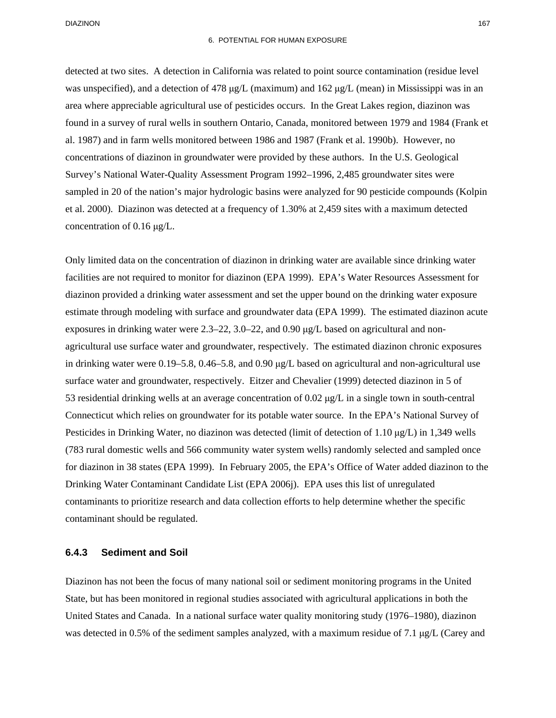#### 6. POTENTIAL FOR HUMAN EXPOSURE

detected at two sites. A detection in California was related to point source contamination (residue level was unspecified), and a detection of 478 μg/L (maximum) and 162 μg/L (mean) in Mississippi was in an area where appreciable agricultural use of pesticides occurs. In the Great Lakes region, diazinon was found in a survey of rural wells in southern Ontario, Canada, monitored between 1979 and 1984 (Frank et al. 1987) and in farm wells monitored between 1986 and 1987 (Frank et al. 1990b). However, no concentrations of diazinon in groundwater were provided by these authors. In the U.S. Geological Survey's National Water-Quality Assessment Program 1992–1996, 2,485 groundwater sites were sampled in 20 of the nation's major hydrologic basins were analyzed for 90 pesticide compounds (Kolpin et al. 2000). Diazinon was detected at a frequency of 1.30% at 2,459 sites with a maximum detected concentration of 0.16 μg/L.

Only limited data on the concentration of diazinon in drinking water are available since drinking water facilities are not required to monitor for diazinon (EPA 1999). EPA's Water Resources Assessment for diazinon provided a drinking water assessment and set the upper bound on the drinking water exposure estimate through modeling with surface and groundwater data (EPA 1999). The estimated diazinon acute exposures in drinking water were 2.3–22, 3.0–22, and 0.90 μg/L based on agricultural and nonagricultural use surface water and groundwater, respectively. The estimated diazinon chronic exposures in drinking water were  $0.19-5.8$ ,  $0.46-5.8$ , and  $0.90 \mu g/L$  based on agricultural and non-agricultural use surface water and groundwater, respectively. Eitzer and Chevalier (1999) detected diazinon in 5 of 53 residential drinking wells at an average concentration of 0.02 μg/L in a single town in south-central Connecticut which relies on groundwater for its potable water source. In the EPA's National Survey of Pesticides in Drinking Water, no diazinon was detected (limit of detection of 1.10 μg/L) in 1,349 wells (783 rural domestic wells and 566 community water system wells) randomly selected and sampled once for diazinon in 38 states (EPA 1999). In February 2005, the EPA's Office of Water added diazinon to the Drinking Water Contaminant Candidate List (EPA 2006j). EPA uses this list of unregulated contaminants to prioritize research and data collection efforts to help determine whether the specific contaminant should be regulated.

### **6.4.3 Sediment and Soil**

Diazinon has not been the focus of many national soil or sediment monitoring programs in the United State, but has been monitored in regional studies associated with agricultural applications in both the United States and Canada. In a national surface water quality monitoring study (1976–1980), diazinon was detected in 0.5% of the sediment samples analyzed, with a maximum residue of 7.1 μg/L (Carey and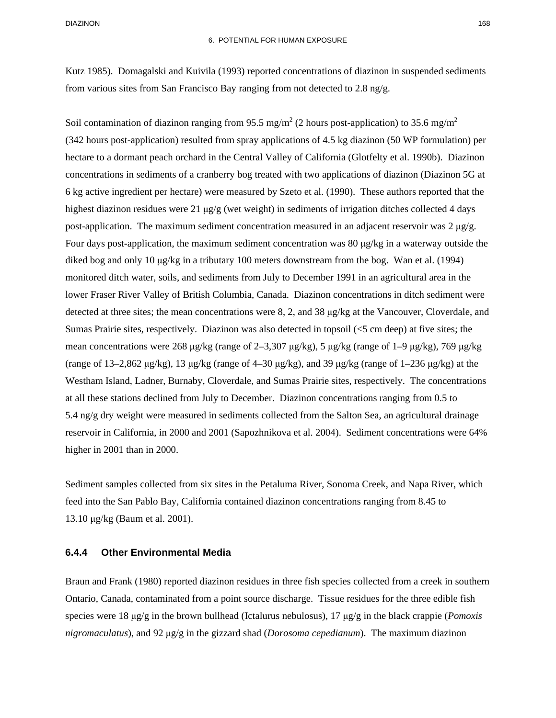Kutz 1985). Domagalski and Kuivila (1993) reported concentrations of diazinon in suspended sediments from various sites from San Francisco Bay ranging from not detected to 2.8 ng/g.

Soil contamination of diazinon ranging from 95.5 mg/m<sup>2</sup> (2 hours post-application) to 35.6 mg/m<sup>2</sup> (342 hours post-application) resulted from spray applications of 4.5 kg diazinon (50 WP formulation) per hectare to a dormant peach orchard in the Central Valley of California (Glotfelty et al. 1990b). Diazinon concentrations in sediments of a cranberry bog treated with two applications of diazinon (Diazinon 5G at 6 kg active ingredient per hectare) were measured by Szeto et al. (1990). These authors reported that the highest diazinon residues were 21 μg/g (wet weight) in sediments of irrigation ditches collected 4 days post-application. The maximum sediment concentration measured in an adjacent reservoir was 2 μg/g. Four days post-application, the maximum sediment concentration was 80 μg/kg in a waterway outside the diked bog and only 10 μg/kg in a tributary 100 meters downstream from the bog. Wan et al. (1994) monitored ditch water, soils, and sediments from July to December 1991 in an agricultural area in the lower Fraser River Valley of British Columbia, Canada. Diazinon concentrations in ditch sediment were detected at three sites; the mean concentrations were 8, 2, and 38 μg/kg at the Vancouver, Cloverdale, and Sumas Prairie sites, respectively. Diazinon was also detected in topsoil (<5 cm deep) at five sites; the mean concentrations were 268 μg/kg (range of 2–3,307 μg/kg), 5 μg/kg (range of 1–9 μg/kg), 769 μg/kg (range of 13–2,862 μg/kg), 13 μg/kg (range of 4–30 μg/kg), and 39 μg/kg (range of 1–236 μg/kg) at the Westham Island, Ladner, Burnaby, Cloverdale, and Sumas Prairie sites, respectively. The concentrations at all these stations declined from July to December. Diazinon concentrations ranging from 0.5 to 5.4 ng/g dry weight were measured in sediments collected from the Salton Sea, an agricultural drainage reservoir in California, in 2000 and 2001 (Sapozhnikova et al. 2004). Sediment concentrations were 64% higher in 2001 than in 2000.

Sediment samples collected from six sites in the Petaluma River, Sonoma Creek, and Napa River, which feed into the San Pablo Bay, California contained diazinon concentrations ranging from 8.45 to 13.10 μg/kg (Baum et al. 2001).

### **6.4.4 Other Environmental Media**

Braun and Frank (1980) reported diazinon residues in three fish species collected from a creek in southern Ontario, Canada, contaminated from a point source discharge. Tissue residues for the three edible fish species were 18 μg/g in the brown bullhead (Ictalurus nebulosus), 17 μg/g in the black crappie (*Pomoxis nigromaculatus*), and 92 μg/g in the gizzard shad (*Dorosoma cepedianum*). The maximum diazinon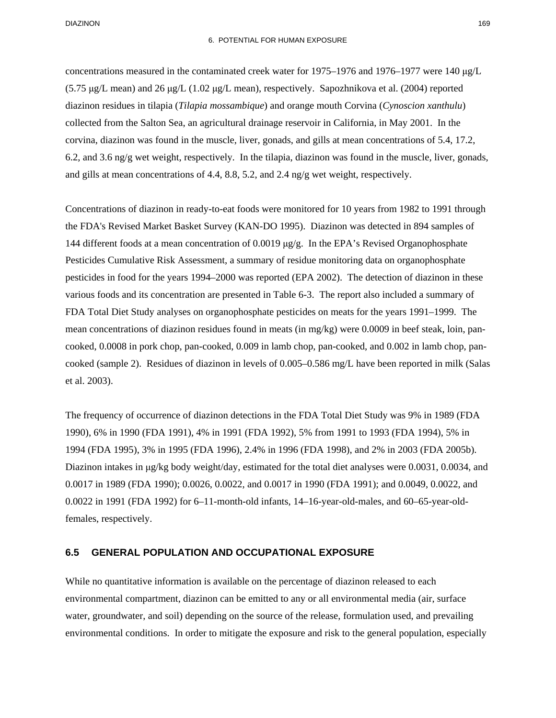concentrations measured in the contaminated creek water for 1975–1976 and 1976–1977 were 140 μg/L (5.75 μg/L mean) and 26 μg/L (1.02 μg/L mean), respectively. Sapozhnikova et al. (2004) reported diazinon residues in tilapia (*Tilapia mossambique*) and orange mouth Corvina (*Cynoscion xanthulu*) collected from the Salton Sea, an agricultural drainage reservoir in California, in May 2001. In the corvina, diazinon was found in the muscle, liver, gonads, and gills at mean concentrations of 5.4, 17.2, 6.2, and 3.6 ng/g wet weight, respectively. In the tilapia, diazinon was found in the muscle, liver, gonads, and gills at mean concentrations of 4.4, 8.8, 5.2, and 2.4 ng/g wet weight, respectively.

Concentrations of diazinon in ready-to-eat foods were monitored for 10 years from 1982 to 1991 through the FDA's Revised Market Basket Survey (KAN-DO 1995). Diazinon was detected in 894 samples of 144 different foods at a mean concentration of 0.0019 μg/g. In the EPA's Revised Organophosphate Pesticides Cumulative Risk Assessment, a summary of residue monitoring data on organophosphate pesticides in food for the years 1994–2000 was reported (EPA 2002). The detection of diazinon in these various foods and its concentration are presented in Table 6-3. The report also included a summary of FDA Total Diet Study analyses on organophosphate pesticides on meats for the years 1991–1999. The mean concentrations of diazinon residues found in meats (in mg/kg) were 0.0009 in beef steak, loin, pancooked, 0.0008 in pork chop, pan-cooked, 0.009 in lamb chop, pan-cooked, and 0.002 in lamb chop, pancooked (sample 2). Residues of diazinon in levels of 0.005–0.586 mg/L have been reported in milk (Salas et al. 2003).

The frequency of occurrence of diazinon detections in the FDA Total Diet Study was 9% in 1989 (FDA 1990), 6% in 1990 (FDA 1991), 4% in 1991 (FDA 1992), 5% from 1991 to 1993 (FDA 1994), 5% in 1994 (FDA 1995), 3% in 1995 (FDA 1996), 2.4% in 1996 (FDA 1998), and 2% in 2003 (FDA 2005b). Diazinon intakes in μg/kg body weight/day, estimated for the total diet analyses were 0.0031, 0.0034, and 0.0017 in 1989 (FDA 1990); 0.0026, 0.0022, and 0.0017 in 1990 (FDA 1991); and 0.0049, 0.0022, and 0.0022 in 1991 (FDA 1992) for 6–11-month-old infants, 14–16-year-old-males, and 60–65-year-oldfemales, respectively.

### **6.5 GENERAL POPULATION AND OCCUPATIONAL EXPOSURE**

While no quantitative information is available on the percentage of diazinon released to each environmental compartment, diazinon can be emitted to any or all environmental media (air, surface water, groundwater, and soil) depending on the source of the release, formulation used, and prevailing environmental conditions. In order to mitigate the exposure and risk to the general population, especially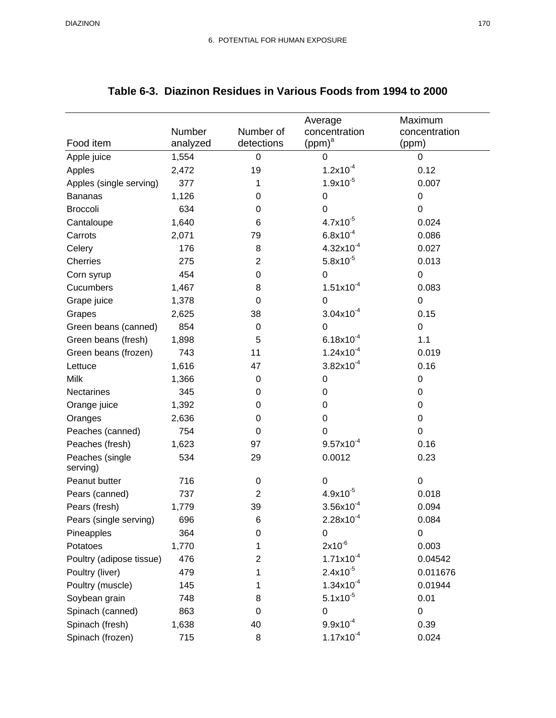| Food item                   | Number<br>analyzed | Number of<br>detections | Average<br>concentration<br>$(ppm)^a$ | Maximum<br>concentration<br>(ppm) |
|-----------------------------|--------------------|-------------------------|---------------------------------------|-----------------------------------|
| Apple juice                 | 1,554              | $\pmb{0}$               | 0                                     | $\pmb{0}$                         |
| Apples                      | 2,472              | 19                      | $1.2x10^{-4}$                         | 0.12                              |
| Apples (single serving)     | 377                | 1                       | $1.9x10^{-5}$                         | 0.007                             |
| <b>Bananas</b>              | 1,126              | 0                       | 0                                     | $\pmb{0}$                         |
| <b>Broccoli</b>             | 634                | 0                       | 0                                     | $\boldsymbol{0}$                  |
| Cantaloupe                  | 1,640              | 6                       | $4.7x10^{-5}$                         | 0.024                             |
| Carrots                     | 2,071              | 79                      | $6.8x10^{-4}$                         | 0.086                             |
| Celery                      | 176                | 8                       | $4.32x10^{-4}$                        | 0.027                             |
| Cherries                    | 275                | $\overline{2}$          | $5.8x10^{-5}$                         | 0.013                             |
| Corn syrup                  | 454                | 0                       | $\boldsymbol{0}$                      | $\pmb{0}$                         |
| Cucumbers                   | 1,467              | 8                       | $1.51x10^{-4}$                        | 0.083                             |
| Grape juice                 | 1,378              | 0                       | $\mathbf 0$                           | $\boldsymbol{0}$                  |
| Grapes                      | 2,625              | 38                      | $3.04x10^{-4}$                        | 0.15                              |
| Green beans (canned)        | 854                | 0                       | $\pmb{0}$                             | $\pmb{0}$                         |
| Green beans (fresh)         | 1,898              | 5                       | $6.18x10^{-4}$                        | 1.1                               |
| Green beans (frozen)        | 743                | 11                      | $1.24x10^{-4}$                        | 0.019                             |
| Lettuce                     | 1,616              | 47                      | $3.82\times10^{-4}$                   | 0.16                              |
| Milk                        | 1,366              | 0                       | $\boldsymbol{0}$                      | $\pmb{0}$                         |
| <b>Nectarines</b>           | 345                | 0                       | 0                                     | $\mathbf 0$                       |
| Orange juice                | 1,392              | 0                       | 0                                     | $\mathbf 0$                       |
| Oranges                     | 2,636              | 0                       | 0                                     | $\boldsymbol{0}$                  |
| Peaches (canned)            | 754                | 0                       | 0                                     | $\mathbf 0$                       |
| Peaches (fresh)             | 1,623              | 97                      | $9.57 \times 10^{-4}$                 | 0.16                              |
| Peaches (single<br>serving) | 534                | 29                      | 0.0012                                | 0.23                              |
| Peanut butter               | 716                | 0                       | $\pmb{0}$                             | $\mathbf 0$                       |
| Pears (canned)              | 737                | $\overline{c}$          | $4.9x10^{-5}$                         | 0.018                             |
| Pears (fresh)               | 1,779              | 39                      | $3.56x10^{-4}$                        | 0.094                             |
| Pears (single serving)      | 696                | 6                       | $2.28\times10^{-4}$                   | 0.084                             |
| Pineapples                  | 364                | 0                       | $\pmb{0}$                             | $\pmb{0}$                         |
| Potatoes                    | 1,770              | 1                       | $2x10^{-6}$                           | 0.003                             |
| Poultry (adipose tissue)    | 476                | 2                       | $1.71 \times 10^{-4}$                 | 0.04542                           |
| Poultry (liver)             | 479                | 1                       | $2.4x10^{-5}$                         | 0.011676                          |
| Poultry (muscle)            | 145                | 1                       | $1.34x10^{-4}$                        | 0.01944                           |
| Soybean grain               | 748                | 8                       | $5.1x10^{-5}$                         | 0.01                              |
| Spinach (canned)            | 863                | 0                       | 0                                     | 0                                 |
| Spinach (fresh)             | 1,638              | 40                      | $9.9x10^{-4}$                         | 0.39                              |
| Spinach (frozen)            | 715                | 8                       | $1.17x10^{-4}$                        | 0.024                             |

# **Table 6-3. Diazinon Residues in Various Foods from 1994 to 2000**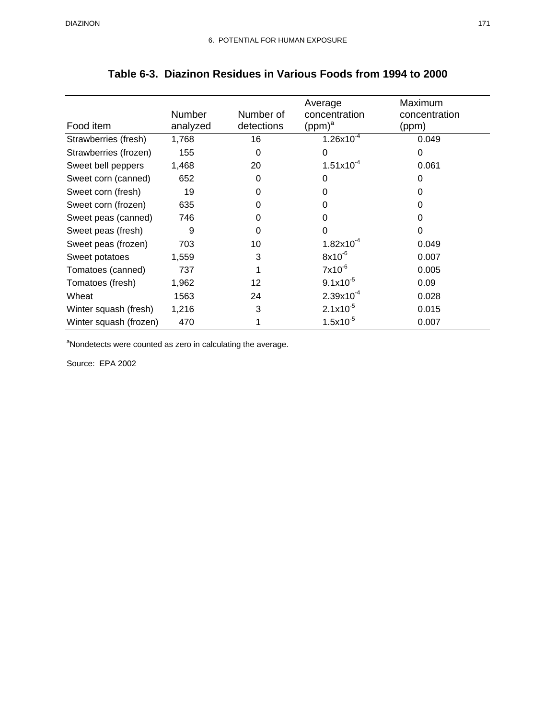| Food item              | <b>Number</b><br>analyzed | Number of<br>detections | Average<br>concentration<br>$(ppm)^a$ | Maximum<br>concentration<br>(ppm) |
|------------------------|---------------------------|-------------------------|---------------------------------------|-----------------------------------|
| Strawberries (fresh)   | 1,768                     | 16                      | $1.26x10^{-4}$                        | 0.049                             |
| Strawberries (frozen)  | 155                       | 0                       | 0                                     | 0                                 |
| Sweet bell peppers     | 1,468                     | 20                      | $1.51 \times 10^{-4}$                 | 0.061                             |
| Sweet corn (canned)    | 652                       | 0                       | 0                                     | 0                                 |
| Sweet corn (fresh)     | 19                        | 0                       | 0                                     | 0                                 |
| Sweet corn (frozen)    | 635                       | 0                       | 0                                     | 0                                 |
| Sweet peas (canned)    | 746                       | 0                       | 0                                     | 0                                 |
| Sweet peas (fresh)     | 9                         | 0                       | $\Omega$                              | $\Omega$                          |
| Sweet peas (frozen)    | 703                       | 10                      | $1.82\times10^{-4}$                   | 0.049                             |
| Sweet potatoes         | 1,559                     | 3                       | $8x10^{-6}$                           | 0.007                             |
| Tomatoes (canned)      | 737                       |                         | $7x10^{-6}$                           | 0.005                             |
| Tomatoes (fresh)       | 1,962                     | 12                      | $9.1x10^{-5}$                         | 0.09                              |
| Wheat                  | 1563                      | 24                      | $2.39x10^{-4}$                        | 0.028                             |
| Winter squash (fresh)  | 1,216                     | 3                       | $2.1x10^{-5}$                         | 0.015                             |
| Winter squash (frozen) | 470                       |                         | $1.5x10^{-5}$                         | 0.007                             |

# **Table 6-3. Diazinon Residues in Various Foods from 1994 to 2000**

<sup>a</sup>Nondetects were counted as zero in calculating the average.

Source: EPA 2002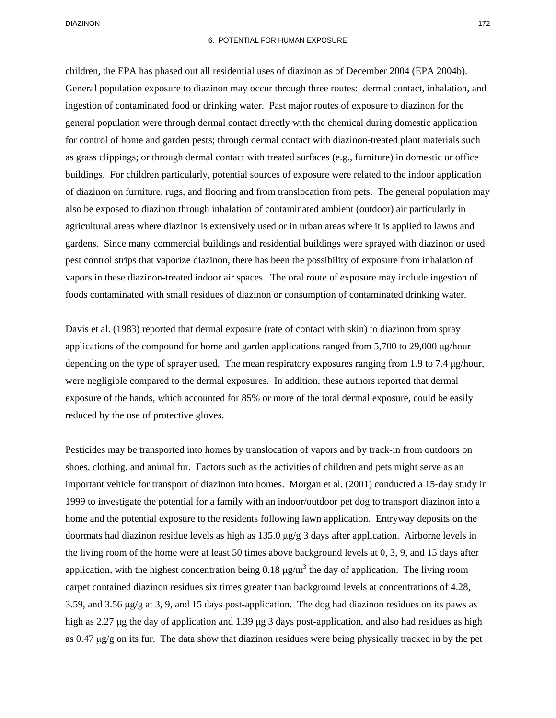children, the EPA has phased out all residential uses of diazinon as of December 2004 (EPA 2004b). General population exposure to diazinon may occur through three routes: dermal contact, inhalation, and ingestion of contaminated food or drinking water. Past major routes of exposure to diazinon for the general population were through dermal contact directly with the chemical during domestic application for control of home and garden pests; through dermal contact with diazinon-treated plant materials such as grass clippings; or through dermal contact with treated surfaces (e.g., furniture) in domestic or office buildings. For children particularly, potential sources of exposure were related to the indoor application of diazinon on furniture, rugs, and flooring and from translocation from pets. The general population may also be exposed to diazinon through inhalation of contaminated ambient (outdoor) air particularly in agricultural areas where diazinon is extensively used or in urban areas where it is applied to lawns and gardens. Since many commercial buildings and residential buildings were sprayed with diazinon or used pest control strips that vaporize diazinon, there has been the possibility of exposure from inhalation of vapors in these diazinon-treated indoor air spaces. The oral route of exposure may include ingestion of foods contaminated with small residues of diazinon or consumption of contaminated drinking water.

Davis et al. (1983) reported that dermal exposure (rate of contact with skin) to diazinon from spray applications of the compound for home and garden applications ranged from 5,700 to 29,000 μg/hour depending on the type of sprayer used. The mean respiratory exposures ranging from 1.9 to 7.4 μg/hour, were negligible compared to the dermal exposures. In addition, these authors reported that dermal exposure of the hands, which accounted for 85% or more of the total dermal exposure, could be easily reduced by the use of protective gloves.

Pesticides may be transported into homes by translocation of vapors and by track-in from outdoors on shoes, clothing, and animal fur. Factors such as the activities of children and pets might serve as an important vehicle for transport of diazinon into homes. Morgan et al. (2001) conducted a 15-day study in 1999 to investigate the potential for a family with an indoor/outdoor pet dog to transport diazinon into a home and the potential exposure to the residents following lawn application. Entryway deposits on the doormats had diazinon residue levels as high as 135.0 μg/g 3 days after application. Airborne levels in the living room of the home were at least 50 times above background levels at 0, 3, 9, and 15 days after application, with the highest concentration being  $0.18 \mu g/m^3$  the day of application. The living room carpet contained diazinon residues six times greater than background levels at concentrations of 4.28, 3.59, and 3.56 μg/g at 3, 9, and 15 days post-application. The dog had diazinon residues on its paws as high as 2.27 μg the day of application and 1.39 μg 3 days post-application, and also had residues as high as 0.47 μg/g on its fur. The data show that diazinon residues were being physically tracked in by the pet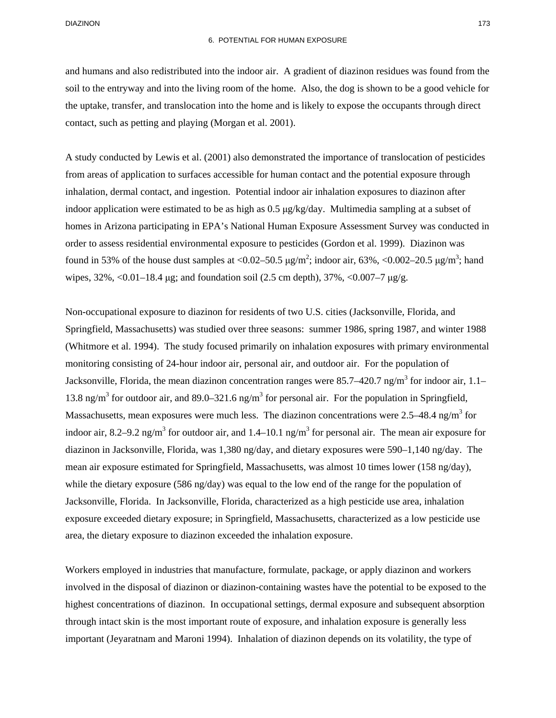and humans and also redistributed into the indoor air. A gradient of diazinon residues was found from the soil to the entryway and into the living room of the home. Also, the dog is shown to be a good vehicle for the uptake, transfer, and translocation into the home and is likely to expose the occupants through direct contact, such as petting and playing (Morgan et al. 2001).

A study conducted by Lewis et al. (2001) also demonstrated the importance of translocation of pesticides from areas of application to surfaces accessible for human contact and the potential exposure through inhalation, dermal contact, and ingestion. Potential indoor air inhalation exposures to diazinon after indoor application were estimated to be as high as 0.5 μg/kg/day. Multimedia sampling at a subset of homes in Arizona participating in EPA's National Human Exposure Assessment Survey was conducted in order to assess residential environmental exposure to pesticides (Gordon et al. 1999). Diazinon was found in 53% of the house dust samples at <0.02–50.5  $\mu$ g/m<sup>2</sup>; indoor air, 63%, <0.002–20.5  $\mu$ g/m<sup>3</sup>; hand wipes,  $32\%$ ,  $\langle 0.01 - 18.4 \,\mu$ g; and foundation soil (2.5 cm depth),  $37\%$ ,  $\langle 0.007 - 7 \,\mu$ g/g.

Non-occupational exposure to diazinon for residents of two U.S. cities (Jacksonville, Florida, and Springfield, Massachusetts) was studied over three seasons: summer 1986, spring 1987, and winter 1988 (Whitmore et al. 1994). The study focused primarily on inhalation exposures with primary environmental monitoring consisting of 24-hour indoor air, personal air, and outdoor air. For the population of Jacksonville, Florida, the mean diazinon concentration ranges were 85.7–420.7 ng/m<sup>3</sup> for indoor air, 1.1– 13.8 ng/m<sup>3</sup> for outdoor air, and 89.0–321.6 ng/m<sup>3</sup> for personal air. For the population in Springfield, Massachusetts, mean exposures were much less. The diazinon concentrations were 2.5–48.4 ng/m<sup>3</sup> for indoor air, 8.2–9.2 ng/m<sup>3</sup> for outdoor air, and 1.4–10.1 ng/m<sup>3</sup> for personal air. The mean air exposure for diazinon in Jacksonville, Florida, was 1,380 ng/day, and dietary exposures were 590–1,140 ng/day. The mean air exposure estimated for Springfield, Massachusetts, was almost 10 times lower (158 ng/day), while the dietary exposure (586 ng/day) was equal to the low end of the range for the population of Jacksonville, Florida. In Jacksonville, Florida, characterized as a high pesticide use area, inhalation exposure exceeded dietary exposure; in Springfield, Massachusetts, characterized as a low pesticide use area, the dietary exposure to diazinon exceeded the inhalation exposure.

Workers employed in industries that manufacture, formulate, package, or apply diazinon and workers involved in the disposal of diazinon or diazinon-containing wastes have the potential to be exposed to the highest concentrations of diazinon. In occupational settings, dermal exposure and subsequent absorption through intact skin is the most important route of exposure, and inhalation exposure is generally less important (Jeyaratnam and Maroni 1994). Inhalation of diazinon depends on its volatility, the type of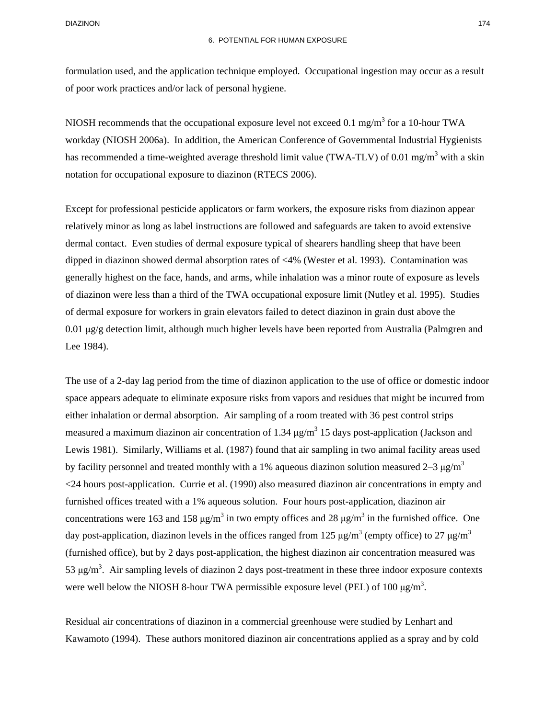formulation used, and the application technique employed. Occupational ingestion may occur as a result of poor work practices and/or lack of personal hygiene.

NIOSH recommends that the occupational exposure level not exceed 0.1 mg/m<sup>3</sup> for a 10-hour TWA workday (NIOSH 2006a). In addition, the American Conference of Governmental Industrial Hygienists has recommended a time-weighted average threshold limit value (TWA-TLV) of 0.01 mg/m<sup>3</sup> with a skin notation for occupational exposure to diazinon (RTECS 2006).

Except for professional pesticide applicators or farm workers, the exposure risks from diazinon appear relatively minor as long as label instructions are followed and safeguards are taken to avoid extensive dermal contact. Even studies of dermal exposure typical of shearers handling sheep that have been dipped in diazinon showed dermal absorption rates of <4% (Wester et al. 1993). Contamination was generally highest on the face, hands, and arms, while inhalation was a minor route of exposure as levels of diazinon were less than a third of the TWA occupational exposure limit (Nutley et al. 1995). Studies of dermal exposure for workers in grain elevators failed to detect diazinon in grain dust above the 0.01 μg/g detection limit, although much higher levels have been reported from Australia (Palmgren and Lee 1984).

The use of a 2-day lag period from the time of diazinon application to the use of office or domestic indoor space appears adequate to eliminate exposure risks from vapors and residues that might be incurred from either inhalation or dermal absorption. Air sampling of a room treated with 36 pest control strips measured a maximum diazinon air concentration of 1.34  $\mu$ g/m<sup>3</sup> 15 days post-application (Jackson and Lewis 1981). Similarly, Williams et al. (1987) found that air sampling in two animal facility areas used by facility personnel and treated monthly with a 1% aqueous diazinon solution measured 2–3  $\mu$ g/m<sup>3</sup> <24 hours post-application. Currie et al. (1990) also measured diazinon air concentrations in empty and furnished offices treated with a 1% aqueous solution. Four hours post-application, diazinon air concentrations were 163 and 158  $\mu$ g/m<sup>3</sup> in two empty offices and 28  $\mu$ g/m<sup>3</sup> in the furnished office. One day post-application, diazinon levels in the offices ranged from 125 μg/m<sup>3</sup> (empty office) to 27 μg/m<sup>3</sup> (furnished office), but by 2 days post-application, the highest diazinon air concentration measured was 53 μg/m<sup>3</sup>. Air sampling levels of diazinon 2 days post-treatment in these three indoor exposure contexts were well below the NIOSH 8-hour TWA permissible exposure level (PEL) of 100  $\mu$ g/m<sup>3</sup>.

Residual air concentrations of diazinon in a commercial greenhouse were studied by Lenhart and Kawamoto (1994). These authors monitored diazinon air concentrations applied as a spray and by cold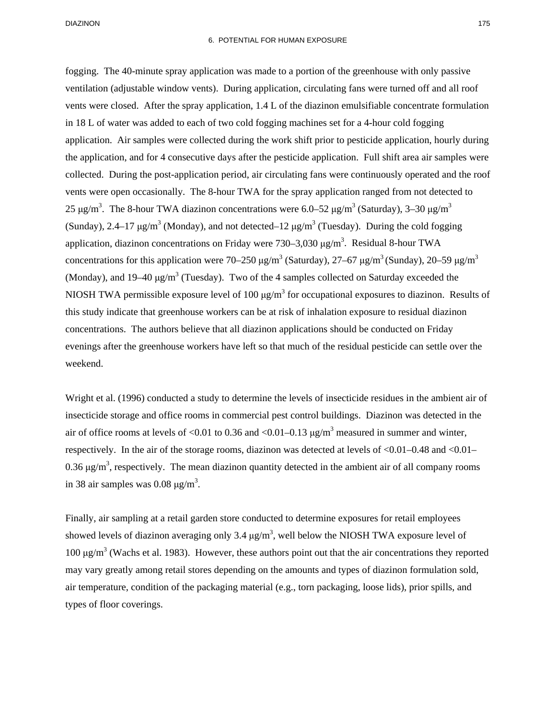fogging. The 40-minute spray application was made to a portion of the greenhouse with only passive ventilation (adjustable window vents). During application, circulating fans were turned off and all roof vents were closed. After the spray application, 1.4 L of the diazinon emulsifiable concentrate formulation in 18 L of water was added to each of two cold fogging machines set for a 4-hour cold fogging application. Air samples were collected during the work shift prior to pesticide application, hourly during the application, and for 4 consecutive days after the pesticide application. Full shift area air samples were collected. During the post-application period, air circulating fans were continuously operated and the roof vents were open occasionally. The 8-hour TWA for the spray application ranged from not detected to 25 μg/m<sup>3</sup>. The 8-hour TWA diazinon concentrations were 6.0–52 μg/m<sup>3</sup> (Saturday), 3–30 μg/m<sup>3</sup> (Sunday), 2.4–17  $\mu$ g/m<sup>3</sup> (Monday), and not detected–12  $\mu$ g/m<sup>3</sup> (Tuesday). During the cold fogging application, diazinon concentrations on Friday were  $730-3,030 \,\mu g/m^3$ . Residual 8-hour TWA concentrations for this application were 70–250 μg/m<sup>3</sup> (Saturday), 27–67 μg/m<sup>3</sup> (Sunday), 20–59 μg/m<sup>3</sup> (Monday), and  $19-40 \mu g/m^3$  (Tuesday). Two of the 4 samples collected on Saturday exceeded the NIOSH TWA permissible exposure level of 100  $\mu$ g/m<sup>3</sup> for occupational exposures to diazinon. Results of this study indicate that greenhouse workers can be at risk of inhalation exposure to residual diazinon concentrations. The authors believe that all diazinon applications should be conducted on Friday evenings after the greenhouse workers have left so that much of the residual pesticide can settle over the weekend.

Wright et al. (1996) conducted a study to determine the levels of insecticide residues in the ambient air of insecticide storage and office rooms in commercial pest control buildings. Diazinon was detected in the air of office rooms at levels of <0.01 to 0.36 and <0.01–0.13  $\mu$ g/m<sup>3</sup> measured in summer and winter, respectively. In the air of the storage rooms, diazinon was detected at levels of <0.01–0.48 and <0.01–  $0.36 \mu$ g/m<sup>3</sup>, respectively. The mean diazinon quantity detected in the ambient air of all company rooms in 38 air samples was  $0.08 \mu g/m^3$ .

Finally, air sampling at a retail garden store conducted to determine exposures for retail employees showed levels of diazinon averaging only 3.4  $\mu$ g/m<sup>3</sup>, well below the NIOSH TWA exposure level of 100 μg/m<sup>3</sup> (Wachs et al. 1983). However, these authors point out that the air concentrations they reported may vary greatly among retail stores depending on the amounts and types of diazinon formulation sold, air temperature, condition of the packaging material (e.g., torn packaging, loose lids), prior spills, and types of floor coverings.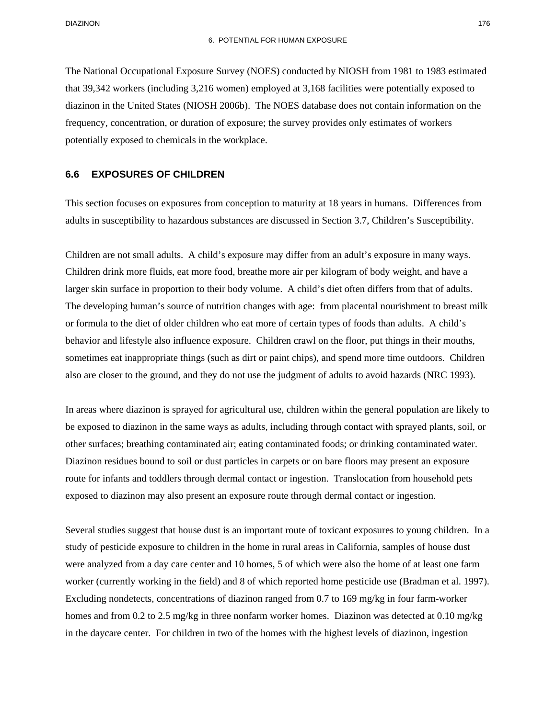The National Occupational Exposure Survey (NOES) conducted by NIOSH from 1981 to 1983 estimated that 39,342 workers (including 3,216 women) employed at 3,168 facilities were potentially exposed to diazinon in the United States (NIOSH 2006b). The NOES database does not contain information on the frequency, concentration, or duration of exposure; the survey provides only estimates of workers potentially exposed to chemicals in the workplace.

### **6.6 EXPOSURES OF CHILDREN**

This section focuses on exposures from conception to maturity at 18 years in humans. Differences from adults in susceptibility to hazardous substances are discussed in Section 3.7, Children's Susceptibility.

Children are not small adults. A child's exposure may differ from an adult's exposure in many ways. Children drink more fluids, eat more food, breathe more air per kilogram of body weight, and have a larger skin surface in proportion to their body volume. A child's diet often differs from that of adults. The developing human's source of nutrition changes with age: from placental nourishment to breast milk or formula to the diet of older children who eat more of certain types of foods than adults. A child's behavior and lifestyle also influence exposure. Children crawl on the floor, put things in their mouths, sometimes eat inappropriate things (such as dirt or paint chips), and spend more time outdoors. Children also are closer to the ground, and they do not use the judgment of adults to avoid hazards (NRC 1993).

In areas where diazinon is sprayed for agricultural use, children within the general population are likely to be exposed to diazinon in the same ways as adults, including through contact with sprayed plants, soil, or other surfaces; breathing contaminated air; eating contaminated foods; or drinking contaminated water. Diazinon residues bound to soil or dust particles in carpets or on bare floors may present an exposure route for infants and toddlers through dermal contact or ingestion. Translocation from household pets exposed to diazinon may also present an exposure route through dermal contact or ingestion.

Several studies suggest that house dust is an important route of toxicant exposures to young children. In a study of pesticide exposure to children in the home in rural areas in California, samples of house dust were analyzed from a day care center and 10 homes, 5 of which were also the home of at least one farm worker (currently working in the field) and 8 of which reported home pesticide use (Bradman et al. 1997). Excluding nondetects, concentrations of diazinon ranged from 0.7 to 169 mg/kg in four farm-worker homes and from 0.2 to 2.5 mg/kg in three nonfarm worker homes. Diazinon was detected at 0.10 mg/kg in the daycare center. For children in two of the homes with the highest levels of diazinon, ingestion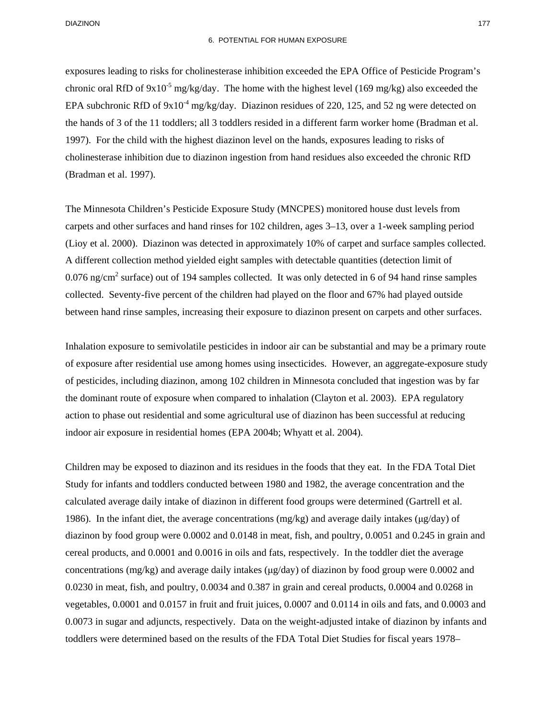#### 6. POTENTIAL FOR HUMAN EXPOSURE

exposures leading to risks for cholinesterase inhibition exceeded the EPA Office of Pesticide Program's chronic oral RfD of  $9x10^{-5}$  mg/kg/day. The home with the highest level (169 mg/kg) also exceeded the EPA subchronic RfD of  $9x10^{-4}$  mg/kg/day. Diazinon residues of 220, 125, and 52 ng were detected on the hands of 3 of the 11 toddlers; all 3 toddlers resided in a different farm worker home (Bradman et al. 1997). For the child with the highest diazinon level on the hands, exposures leading to risks of cholinesterase inhibition due to diazinon ingestion from hand residues also exceeded the chronic RfD (Bradman et al. 1997).

The Minnesota Children's Pesticide Exposure Study (MNCPES) monitored house dust levels from carpets and other surfaces and hand rinses for 102 children, ages 3–13, over a 1-week sampling period (Lioy et al. 2000). Diazinon was detected in approximately 10% of carpet and surface samples collected. A different collection method yielded eight samples with detectable quantities (detection limit of 0.076 ng/cm<sup>2</sup> surface) out of 194 samples collected. It was only detected in 6 of 94 hand rinse samples collected. Seventy-five percent of the children had played on the floor and 67% had played outside between hand rinse samples, increasing their exposure to diazinon present on carpets and other surfaces.

Inhalation exposure to semivolatile pesticides in indoor air can be substantial and may be a primary route of exposure after residential use among homes using insecticides. However, an aggregate-exposure study of pesticides, including diazinon, among 102 children in Minnesota concluded that ingestion was by far the dominant route of exposure when compared to inhalation (Clayton et al. 2003). EPA regulatory action to phase out residential and some agricultural use of diazinon has been successful at reducing indoor air exposure in residential homes (EPA 2004b; Whyatt et al. 2004).

Children may be exposed to diazinon and its residues in the foods that they eat. In the FDA Total Diet Study for infants and toddlers conducted between 1980 and 1982, the average concentration and the calculated average daily intake of diazinon in different food groups were determined (Gartrell et al. 1986). In the infant diet, the average concentrations (mg/kg) and average daily intakes ( $\mu$ g/day) of diazinon by food group were 0.0002 and 0.0148 in meat, fish, and poultry, 0.0051 and 0.245 in grain and cereal products, and 0.0001 and 0.0016 in oils and fats, respectively. In the toddler diet the average concentrations (mg/kg) and average daily intakes (μg/day) of diazinon by food group were 0.0002 and 0.0230 in meat, fish, and poultry, 0.0034 and 0.387 in grain and cereal products, 0.0004 and 0.0268 in vegetables, 0.0001 and 0.0157 in fruit and fruit juices, 0.0007 and 0.0114 in oils and fats, and 0.0003 and 0.0073 in sugar and adjuncts, respectively. Data on the weight-adjusted intake of diazinon by infants and toddlers were determined based on the results of the FDA Total Diet Studies for fiscal years 1978–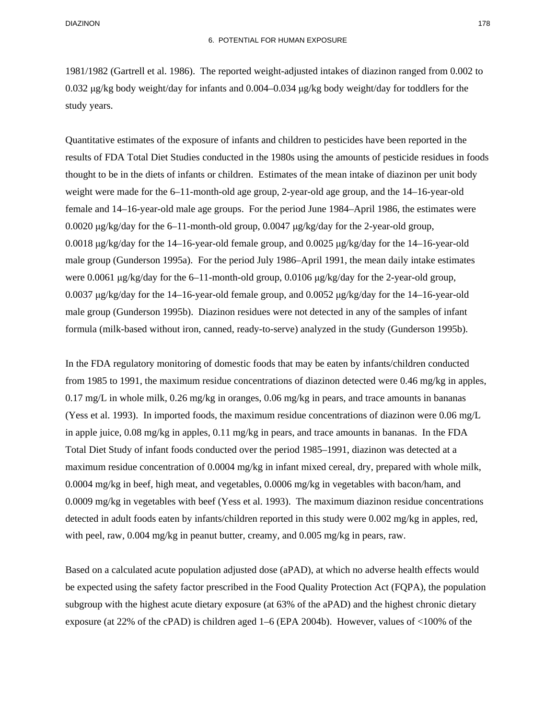1981/1982 (Gartrell et al. 1986). The reported weight-adjusted intakes of diazinon ranged from 0.002 to 0.032 μg/kg body weight/day for infants and 0.004–0.034 μg/kg body weight/day for toddlers for the study years.

Quantitative estimates of the exposure of infants and children to pesticides have been reported in the results of FDA Total Diet Studies conducted in the 1980s using the amounts of pesticide residues in foods thought to be in the diets of infants or children. Estimates of the mean intake of diazinon per unit body weight were made for the 6–11-month-old age group, 2-year-old age group, and the 14–16-year-old female and 14–16-year-old male age groups. For the period June 1984–April 1986, the estimates were 0.0020 μg/kg/day for the 6–11-month-old group, 0.0047 μg/kg/day for the 2-year-old group, 0.0018 μg/kg/day for the 14–16-year-old female group, and 0.0025 μg/kg/day for the 14–16-year-old male group (Gunderson 1995a). For the period July 1986–April 1991, the mean daily intake estimates were 0.0061 μg/kg/day for the 6–11-month-old group, 0.0106 μg/kg/day for the 2-year-old group, 0.0037 μg/kg/day for the 14–16-year-old female group, and 0.0052 μg/kg/day for the 14–16-year-old male group (Gunderson 1995b). Diazinon residues were not detected in any of the samples of infant formula (milk-based without iron, canned, ready-to-serve) analyzed in the study (Gunderson 1995b).

In the FDA regulatory monitoring of domestic foods that may be eaten by infants/children conducted from 1985 to 1991, the maximum residue concentrations of diazinon detected were 0.46 mg/kg in apples,  $0.17 \text{ mg/L}$  in whole milk,  $0.26 \text{ mg/kg}$  in oranges,  $0.06 \text{ mg/kg}$  in pears, and trace amounts in bananas (Yess et al. 1993). In imported foods, the maximum residue concentrations of diazinon were 0.06 mg/L in apple juice, 0.08 mg/kg in apples, 0.11 mg/kg in pears, and trace amounts in bananas. In the FDA Total Diet Study of infant foods conducted over the period 1985–1991, diazinon was detected at a maximum residue concentration of 0.0004 mg/kg in infant mixed cereal, dry, prepared with whole milk, 0.0004 mg/kg in beef, high meat, and vegetables, 0.0006 mg/kg in vegetables with bacon/ham, and 0.0009 mg/kg in vegetables with beef (Yess et al. 1993). The maximum diazinon residue concentrations detected in adult foods eaten by infants/children reported in this study were 0.002 mg/kg in apples, red, with peel, raw, 0.004 mg/kg in peanut butter, creamy, and 0.005 mg/kg in pears, raw.

Based on a calculated acute population adjusted dose (aPAD), at which no adverse health effects would be expected using the safety factor prescribed in the Food Quality Protection Act (FQPA), the population subgroup with the highest acute dietary exposure (at 63% of the aPAD) and the highest chronic dietary exposure (at 22% of the cPAD) is children aged 1–6 (EPA 2004b). However, values of <100% of the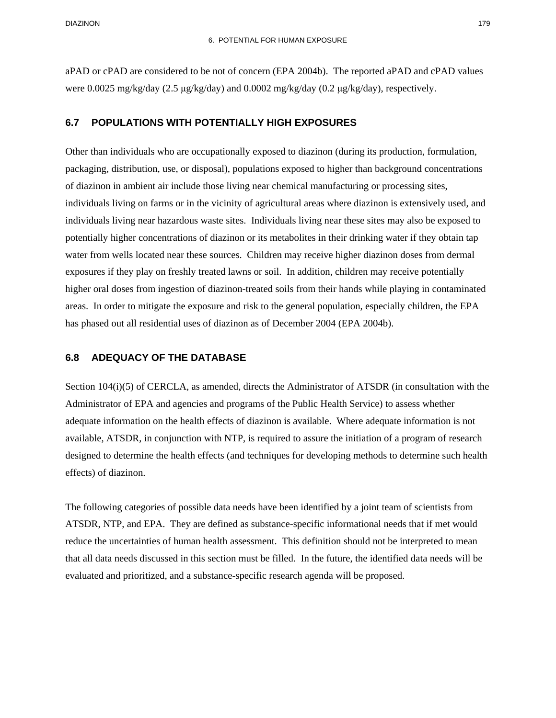aPAD or cPAD are considered to be not of concern (EPA 2004b). The reported aPAD and cPAD values were 0.0025 mg/kg/day (2.5 μg/kg/day) and 0.0002 mg/kg/day (0.2 μg/kg/day), respectively.

### **6.7 POPULATIONS WITH POTENTIALLY HIGH EXPOSURES**

Other than individuals who are occupationally exposed to diazinon (during its production, formulation, packaging, distribution, use, or disposal), populations exposed to higher than background concentrations of diazinon in ambient air include those living near chemical manufacturing or processing sites, individuals living on farms or in the vicinity of agricultural areas where diazinon is extensively used, and individuals living near hazardous waste sites. Individuals living near these sites may also be exposed to potentially higher concentrations of diazinon or its metabolites in their drinking water if they obtain tap water from wells located near these sources. Children may receive higher diazinon doses from dermal exposures if they play on freshly treated lawns or soil. In addition, children may receive potentially higher oral doses from ingestion of diazinon-treated soils from their hands while playing in contaminated areas. In order to mitigate the exposure and risk to the general population, especially children, the EPA has phased out all residential uses of diazinon as of December 2004 (EPA 2004b).

### **6.8 ADEQUACY OF THE DATABASE**

Section 104(i)(5) of CERCLA, as amended, directs the Administrator of ATSDR (in consultation with the Administrator of EPA and agencies and programs of the Public Health Service) to assess whether adequate information on the health effects of diazinon is available. Where adequate information is not available, ATSDR, in conjunction with NTP, is required to assure the initiation of a program of research designed to determine the health effects (and techniques for developing methods to determine such health effects) of diazinon.

The following categories of possible data needs have been identified by a joint team of scientists from ATSDR, NTP, and EPA. They are defined as substance-specific informational needs that if met would reduce the uncertainties of human health assessment. This definition should not be interpreted to mean that all data needs discussed in this section must be filled. In the future, the identified data needs will be evaluated and prioritized, and a substance-specific research agenda will be proposed.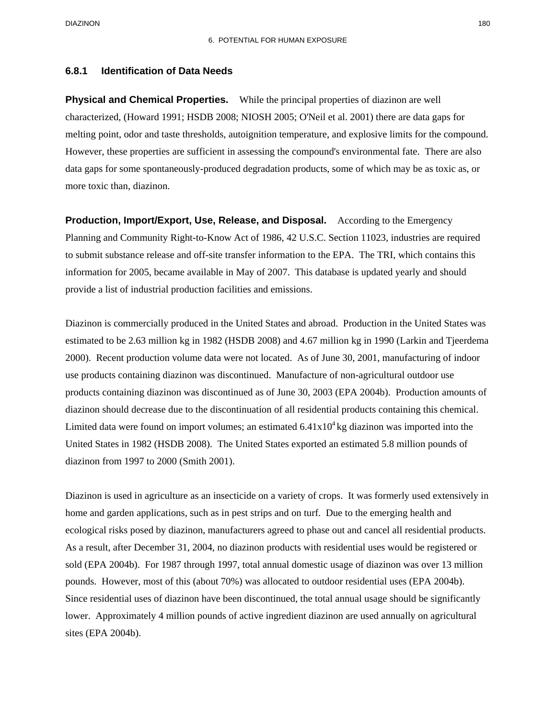### **6.8.1 Identification of Data Needs**

**Physical and Chemical Properties.** While the principal properties of diazinon are well characterized, (Howard 1991; HSDB 2008; NIOSH 2005; O'Neil et al. 2001) there are data gaps for melting point, odor and taste thresholds, autoignition temperature, and explosive limits for the compound. However, these properties are sufficient in assessing the compound's environmental fate. There are also data gaps for some spontaneously-produced degradation products, some of which may be as toxic as, or more toxic than, diazinon.

**Production, Import/Export, Use, Release, and Disposal.** According to the Emergency Planning and Community Right-to-Know Act of 1986, 42 U.S.C. Section 11023, industries are required to submit substance release and off-site transfer information to the EPA. The TRI, which contains this information for 2005, became available in May of 2007. This database is updated yearly and should provide a list of industrial production facilities and emissions.

Diazinon is commercially produced in the United States and abroad. Production in the United States was estimated to be 2.63 million kg in 1982 (HSDB 2008) and 4.67 million kg in 1990 (Larkin and Tjeerdema 2000). Recent production volume data were not located. As of June 30, 2001, manufacturing of indoor use products containing diazinon was discontinued. Manufacture of non-agricultural outdoor use products containing diazinon was discontinued as of June 30, 2003 (EPA 2004b). Production amounts of diazinon should decrease due to the discontinuation of all residential products containing this chemical. Limited data were found on import volumes; an estimated  $6.41x10<sup>4</sup>$  kg diazinon was imported into the United States in 1982 (HSDB 2008). The United States exported an estimated 5.8 million pounds of diazinon from 1997 to 2000 (Smith 2001).

Diazinon is used in agriculture as an insecticide on a variety of crops. It was formerly used extensively in home and garden applications, such as in pest strips and on turf. Due to the emerging health and ecological risks posed by diazinon, manufacturers agreed to phase out and cancel all residential products. As a result, after December 31, 2004, no diazinon products with residential uses would be registered or sold (EPA 2004b). For 1987 through 1997, total annual domestic usage of diazinon was over 13 million pounds. However, most of this (about 70%) was allocated to outdoor residential uses (EPA 2004b). Since residential uses of diazinon have been discontinued, the total annual usage should be significantly lower. Approximately 4 million pounds of active ingredient diazinon are used annually on agricultural sites (EPA 2004b).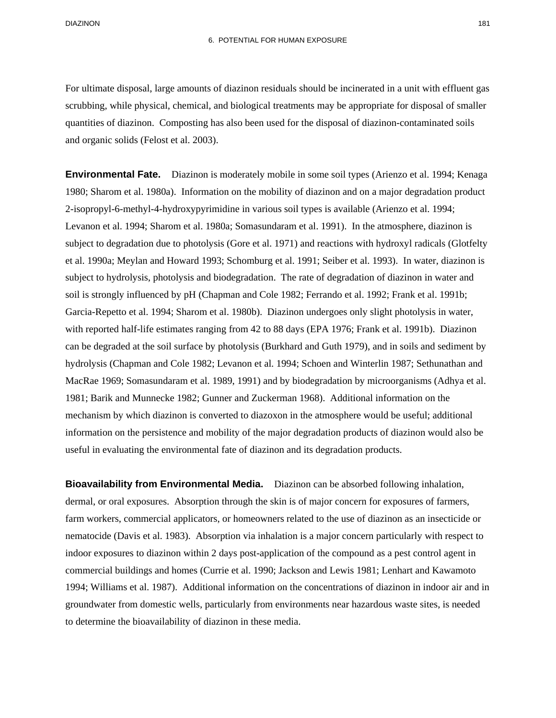For ultimate disposal, large amounts of diazinon residuals should be incinerated in a unit with effluent gas scrubbing, while physical, chemical, and biological treatments may be appropriate for disposal of smaller quantities of diazinon. Composting has also been used for the disposal of diazinon-contaminated soils and organic solids (Felost et al. 2003).

**Environmental Fate.** Diazinon is moderately mobile in some soil types (Arienzo et al. 1994; Kenaga 1980; Sharom et al. 1980a). Information on the mobility of diazinon and on a major degradation product 2-isopropyl-6-methyl-4-hydroxypyrimidine in various soil types is available (Arienzo et al. 1994; Levanon et al. 1994; Sharom et al. 1980a; Somasundaram et al. 1991). In the atmosphere, diazinon is subject to degradation due to photolysis (Gore et al. 1971) and reactions with hydroxyl radicals (Glotfelty et al. 1990a; Meylan and Howard 1993; Schomburg et al. 1991; Seiber et al. 1993). In water, diazinon is subject to hydrolysis, photolysis and biodegradation. The rate of degradation of diazinon in water and soil is strongly influenced by pH (Chapman and Cole 1982; Ferrando et al. 1992; Frank et al. 1991b; Garcia-Repetto et al. 1994; Sharom et al. 1980b). Diazinon undergoes only slight photolysis in water, with reported half-life estimates ranging from 42 to 88 days (EPA 1976; Frank et al. 1991b). Diazinon can be degraded at the soil surface by photolysis (Burkhard and Guth 1979), and in soils and sediment by hydrolysis (Chapman and Cole 1982; Levanon et al. 1994; Schoen and Winterlin 1987; Sethunathan and MacRae 1969; Somasundaram et al. 1989, 1991) and by biodegradation by microorganisms (Adhya et al. 1981; Barik and Munnecke 1982; Gunner and Zuckerman 1968). Additional information on the mechanism by which diazinon is converted to diazoxon in the atmosphere would be useful; additional information on the persistence and mobility of the major degradation products of diazinon would also be useful in evaluating the environmental fate of diazinon and its degradation products.

**Bioavailability from Environmental Media.** Diazinon can be absorbed following inhalation, dermal, or oral exposures. Absorption through the skin is of major concern for exposures of farmers, farm workers, commercial applicators, or homeowners related to the use of diazinon as an insecticide or nematocide (Davis et al. 1983). Absorption via inhalation is a major concern particularly with respect to indoor exposures to diazinon within 2 days post-application of the compound as a pest control agent in commercial buildings and homes (Currie et al. 1990; Jackson and Lewis 1981; Lenhart and Kawamoto 1994; Williams et al. 1987). Additional information on the concentrations of diazinon in indoor air and in groundwater from domestic wells, particularly from environments near hazardous waste sites, is needed to determine the bioavailability of diazinon in these media.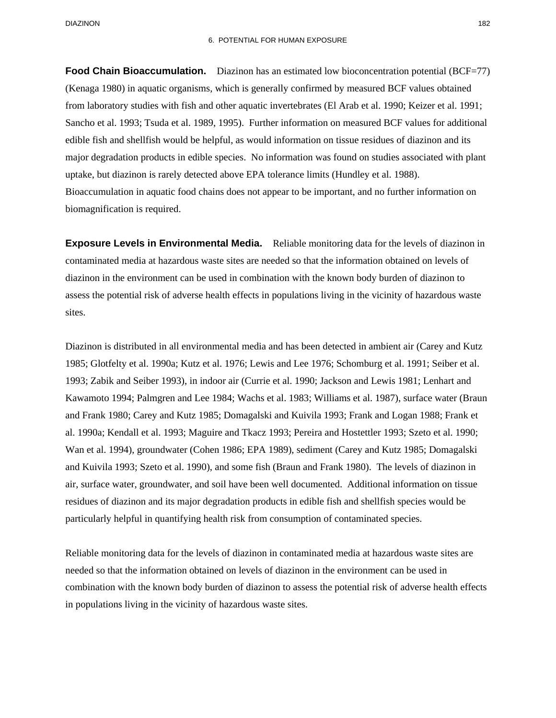**Food Chain Bioaccumulation.** Diazinon has an estimated low bioconcentration potential (BCF=77) (Kenaga 1980) in aquatic organisms, which is generally confirmed by measured BCF values obtained from laboratory studies with fish and other aquatic invertebrates (El Arab et al. 1990; Keizer et al. 1991; Sancho et al. 1993; Tsuda et al. 1989, 1995). Further information on measured BCF values for additional edible fish and shellfish would be helpful, as would information on tissue residues of diazinon and its major degradation products in edible species. No information was found on studies associated with plant uptake, but diazinon is rarely detected above EPA tolerance limits (Hundley et al. 1988). Bioaccumulation in aquatic food chains does not appear to be important, and no further information on biomagnification is required.

**Exposure Levels in Environmental Media.** Reliable monitoring data for the levels of diazinon in contaminated media at hazardous waste sites are needed so that the information obtained on levels of diazinon in the environment can be used in combination with the known body burden of diazinon to assess the potential risk of adverse health effects in populations living in the vicinity of hazardous waste sites.

Diazinon is distributed in all environmental media and has been detected in ambient air (Carey and Kutz 1985; Glotfelty et al. 1990a; Kutz et al. 1976; Lewis and Lee 1976; Schomburg et al. 1991; Seiber et al. 1993; Zabik and Seiber 1993), in indoor air (Currie et al. 1990; Jackson and Lewis 1981; Lenhart and Kawamoto 1994; Palmgren and Lee 1984; Wachs et al. 1983; Williams et al. 1987), surface water (Braun and Frank 1980; Carey and Kutz 1985; Domagalski and Kuivila 1993; Frank and Logan 1988; Frank et al. 1990a; Kendall et al. 1993; Maguire and Tkacz 1993; Pereira and Hostettler 1993; Szeto et al. 1990; Wan et al. 1994), groundwater (Cohen 1986; EPA 1989), sediment (Carey and Kutz 1985; Domagalski and Kuivila 1993; Szeto et al. 1990), and some fish (Braun and Frank 1980). The levels of diazinon in air, surface water, groundwater, and soil have been well documented. Additional information on tissue residues of diazinon and its major degradation products in edible fish and shellfish species would be particularly helpful in quantifying health risk from consumption of contaminated species.

Reliable monitoring data for the levels of diazinon in contaminated media at hazardous waste sites are needed so that the information obtained on levels of diazinon in the environment can be used in combination with the known body burden of diazinon to assess the potential risk of adverse health effects in populations living in the vicinity of hazardous waste sites.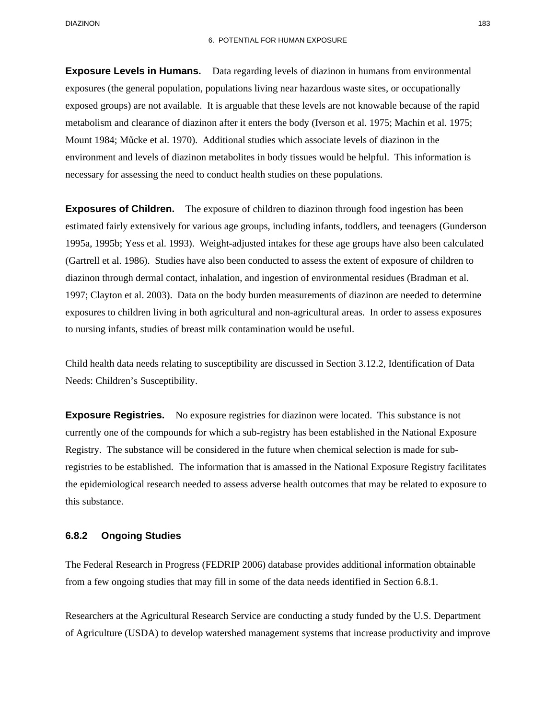**Exposure Levels in Humans.** Data regarding levels of diazinon in humans from environmental exposures (the general population, populations living near hazardous waste sites, or occupationally exposed groups) are not available. It is arguable that these levels are not knowable because of the rapid metabolism and clearance of diazinon after it enters the body (Iverson et al. 1975; Machin et al. 1975; Mount 1984; Műcke et al. 1970). Additional studies which associate levels of diazinon in the environment and levels of diazinon metabolites in body tissues would be helpful. This information is necessary for assessing the need to conduct health studies on these populations.

**Exposures of Children.** The exposure of children to diazinon through food ingestion has been estimated fairly extensively for various age groups, including infants, toddlers, and teenagers (Gunderson 1995a, 1995b; Yess et al. 1993). Weight-adjusted intakes for these age groups have also been calculated (Gartrell et al. 1986). Studies have also been conducted to assess the extent of exposure of children to diazinon through dermal contact, inhalation, and ingestion of environmental residues (Bradman et al. 1997; Clayton et al. 2003). Data on the body burden measurements of diazinon are needed to determine exposures to children living in both agricultural and non-agricultural areas. In order to assess exposures to nursing infants, studies of breast milk contamination would be useful.

Child health data needs relating to susceptibility are discussed in Section 3.12.2, Identification of Data Needs: Children's Susceptibility.

**Exposure Registries.** No exposure registries for diazinon were located. This substance is not currently one of the compounds for which a sub-registry has been established in the National Exposure Registry. The substance will be considered in the future when chemical selection is made for subregistries to be established. The information that is amassed in the National Exposure Registry facilitates the epidemiological research needed to assess adverse health outcomes that may be related to exposure to this substance.

### **6.8.2 Ongoing Studies**

The Federal Research in Progress (FEDRIP 2006) database provides additional information obtainable from a few ongoing studies that may fill in some of the data needs identified in Section 6.8.1.

Researchers at the Agricultural Research Service are conducting a study funded by the U.S. Department of Agriculture (USDA) to develop watershed management systems that increase productivity and improve